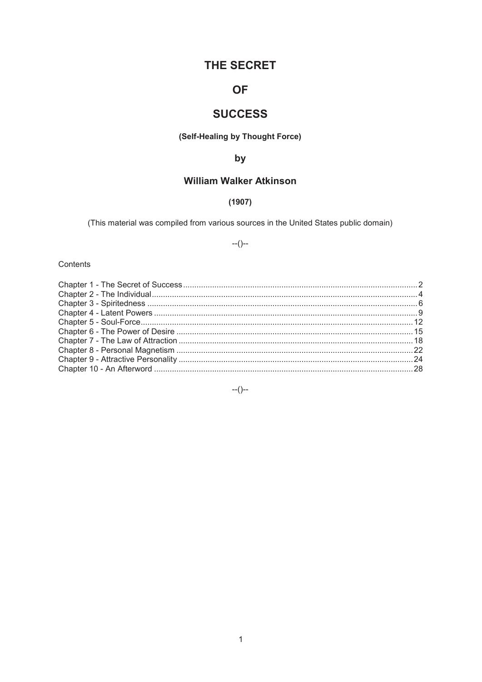# **THE SECRET**

# **OF**

# **SUCCESS**

# (Self-Healing by Thought Force)

# by

# **William Walker Atkinson**

# $(1907)$

(This material was compiled from various sources in the United States public domain)

## $-(-)$

## Contents

## $-(-)$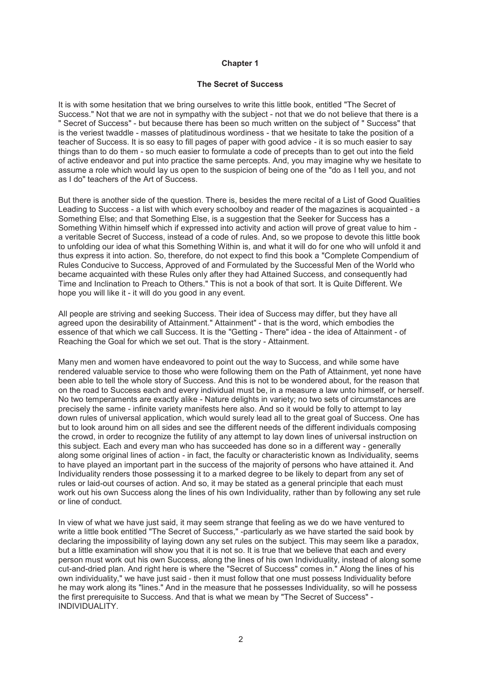#### **The Secret of Success**

It is with some hesitation that we bring ourselves to write this little book, entitled "The Secret of Success." Not that we are not in sympathy with the subject - not that we do not believe that there is a " Secret of Success" - but because there has been so much written on the subject of " Success" that is the veriest twaddle - masses of platitudinous wordiness - that we hesitate to take the position of a teacher of Success. It is so easy to fill pages of paper with good advice - it is so much easier to say things than to do them - so much easier to formulate a code of precepts than to get out into the field of active endeavor and put into practice the same percepts. And, you may imagine why we hesitate to assume a role which would lay us open to the suspicion of being one of the "do as I tell you, and not as I do" teachers of the Art of Success.

But there is another side of the question. There is, besides the mere recital of a List of Good Qualities Leading to Success - a list with which every schoolboy and reader of the magazines is acquainted - a Something Else; and that Something Else, is a suggestion that the Seeker for Success has a Something Within himself which if expressed into activity and action will prove of great value to him a veritable Secret of Success, instead of a code of rules. And, so we propose to devote this little book to unfolding our idea of what this Something Within is, and what it will do for one who will unfold it and thus express it into action. So, therefore, do not expect to find this book a "Complete Compendium of Rules Conducive to Success, Approved of and Formulated by the Successful Men of the World who became acquainted with these Rules only after they had Attained Success, and consequently had Time and Inclination to Preach to Others." This is not a book of that sort. It is Quite Different. We hope you will like it - it will do you good in any event.

All people are striving and seeking Success. Their idea of Success may differ, but they have all agreed upon the desirability of Attainment." Attainment" - that is the word, which embodies the essence of that which we call Success. It is the "Getting - There" idea - the idea of Attainment - of Reaching the Goal for which we set out. That is the story - Attainment.

Many men and women have endeavored to point out the way to Success, and while some have rendered valuable service to those who were following them on the Path of Attainment, yet none have been able to tell the whole story of Success. And this is not to be wondered about, for the reason that on the road to Success each and every individual must be, in a measure a law unto himself, or herself. No two temperaments are exactly alike - Nature delights in variety; no two sets of circumstances are precisely the same - infinite variety manifests here also. And so it would be folly to attempt to lay down rules of universal application, which would surely lead all to the great goal of Success. One has but to look around him on all sides and see the different needs of the different individuals composing the crowd, in order to recognize the futility of any attempt to lay down lines of universal instruction on this subject. Each and every man who has succeeded has done so in a different way - generally along some original lines of action - in fact, the faculty or characteristic known as Individuality, seems to have played an important part in the success of the majority of persons who have attained it. And Individuality renders those possessing it to a marked degree to be likely to depart from any set of rules or laid-out courses of action. And so, it may be stated as a general principle that each must work out his own Success along the lines of his own Individuality, rather than by following any set rule or line of conduct.

In view of what we have just said, it may seem strange that feeling as we do we have ventured to Write a little book entitled "The Secret of Success," -particularly as we have started the said book by write a little book entitled "The Secret of Success," -particularly as we have started the said book by declaring the impossibility of laying down any set rules on the subject. This may seem like a paradox, but a little examination will show you that it is not so. It is true that we believe that each and every person must work out his own Success, along the lines of his own Individuality, instead of along some cut-and-dried plan. And right here is where the "Secret of Success" comes in." Along the lines of his own individuality," we have just said - then it must follow that one must possess Individuality before he may work along its "lines." And in the measure that he possesses Individuality, so will he possess the first prerequisite to Success. And that is what we mean by "The Secret of Success" - INDIVIDUALITY.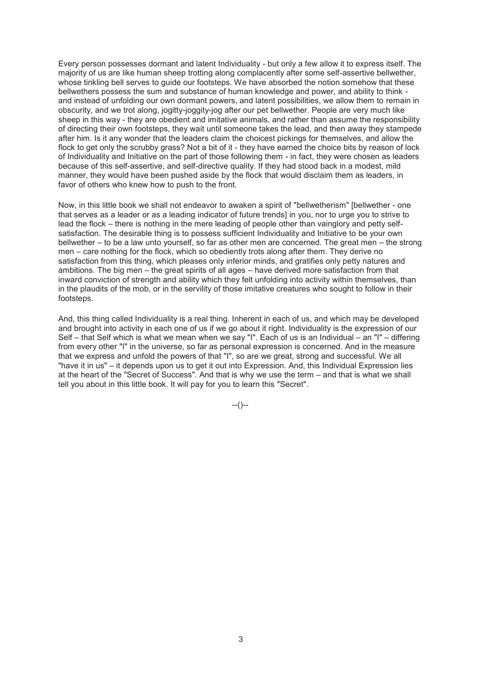Every person possesses dormant and latent Individuality - but only a few allow it to express itself. The majority of us are like human sheep trotting along complacently after some self-assertive bellwether, whose tinkling bell serves to guide our footsteps. We have absorbed the notion somehow that these bellwethers possess the sum and substance of human knowledge and power, and ability to think and instead of unfolding our own dormant powers, and latent possibilities, we allow them to remain in obscurity, and we trot along, jogitty-joggity-jog after our pet bellwether. People are very much like sheep in this way - they are obedient and imitative animals, and rather than assume the responsibility of directing their own footsteps, they wait until someone takes the lead, and then away they stampede after him. Is it any wonder that the leaders claim the choicest pickings for themselves, and allow the flock to get only the scrubby grass? Not a bit of it - they have earned the choice bits by reason of lock of Individuality and Initiative on the part of those following them - in fact, they were chosen as leaders because of this self-assertive, and self-directive quality. If they had stood back in a modest, mild manner, they would have been pushed aside by the flock that would disclaim them as leaders, in favor of others who knew how to push to the front.

Now, in this little book we shall not endeavor to awaken a spirit of "bellwetherism" [bellwether - one that serves as a leader or as a leading indicator of future trends] in you, nor to urge you to strive to lead the flock – there is nothing in the mere leading of people other than vainglory and petty selfsatisfaction. The desirable thing is to possess sufficient Individuality and Initiative to be your own bellwether – to be a law unto yourself, so far as other men are concerned. The great men – the strong men – care nothing for the flock, which so obediently trots along after them. They derive no satisfaction from this thing, which pleases only inferior minds, and gratifies only petty natures and ambitions. The big men – the great spirits of all ages – have derived more satisfaction from that inward conviction of strength and ability which they felt unfolding into activity within themselves, than in the plaudits of the mob, or in the servility of those imitative creatures who sought to follow in their footsteps.

And, this thing called Individuality is a real thing. Inherent in each of us, and which may be developed and brought into activity in each one of us if we go about it right. Individuality is the expression of our Self – that Self which is what we mean when we say "I". Each of us is an Individual – an "I" – differing from every other "I" in the universe, so far as personal expression is concerned. And in the measure that we express and unfold the powers of that "I", so are we great, strong and successful. We all "have it in us" – it depends upon us to get it out into Expression. And, this Individual Expression lies at the heart of the "Secret of Success". And that is why we use the term – and that is what we shall tell you about in this little book. It will pay for you to learn this "Secret".

 $-(-)$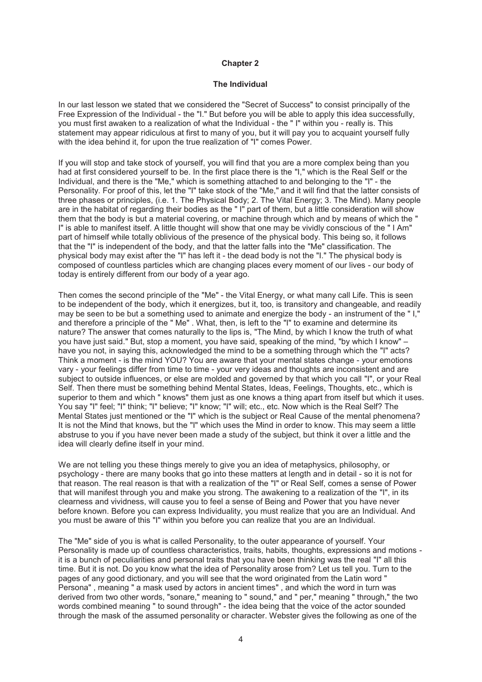#### **The Individual**

In our last lesson we stated that we considered the "Secret of Success" to consist principally of the Free Expression of the Individual - the "I." But before you will be able to apply this idea successfully, you must first awaken to a realization of what the Individual - the " I" within you - really is. This statement may appear ridiculous at first to many of you, but it will pay you to acquaint yourself fully with the idea behind it, for upon the true realization of "I" comes Power.

If you will stop and take stock of yourself, you will find that you are a more complex being than you had at first considered yourself to be. In the first place there is the "I," which is the Real Self or the Individual, and there is the "Me," which is something attached to and belonging to the "I" - the Personality. For proof of this, let the "I" take stock of the "Me," and it will find that the latter consists of three phases or principles, (i.e. 1. The Physical Body; 2. The Vital Energy; 3. The Mind). Many people are in the habitat of regarding their bodies as the " I" part of them, but a little consideration will show them that the body is but a material covering, or machine through which and by means of which the " I" is able to manifest itself. A little thought will show that one may be vividly conscious of the " I Am" part of himself while totally oblivious of the presence of the physical body. This being so, it follows that the "I" is independent of the body, and that the latter falls into the "Me" classification. The physical body may exist after the "I" has left it - the dead body is not the "I." The physical body is composed of countless particles which are changing places every moment of our lives - our body of today is entirely different from our body of a year ago.

Then comes the second principle of the "Me" - the Vital Energy, or what many call Life. This is seen to be independent of the body, which it energizes, but it, too, is transitory and changeable, and readily may be seen to be but a something used to animate and energize the body - an instrument of the " I," and therefore a principle of the " Me" . What, then, is left to the "I" to examine and determine its nature? The answer that comes naturally to the lips is, "The Mind, by which I know the truth of what you have just said." But, stop a moment, you have said, speaking of the mind, "by which I know" – have you not, in saying this, acknowledged the mind to be a something through which the "I" acts? Think a moment - is the mind YOU? You are aware that your mental states change - your emotions vary - your feelings differ from time to time - your very ideas and thoughts are inconsistent and are subject to outside influences, or else are molded and governed by that which you call "I", or your Real Self. Then there must be something behind Mental States, Ideas, Feelings, Thoughts, etc., which is superior to them and which " knows" them just as one knows a thing apart from itself but which it uses. You say "I" feel; "I" think; "I" believe; "I" know; "I" will; etc., etc. Now which is the Real Self? The Mental States just mentioned or the "I" which is the subject or Real Cause of the mental phenomena? It is not the Mind that knows, but the "I" which uses the Mind in order to know. This may seem a little abstruse to you if you have never been made a study of the subject, but think it over a little and the idea will clearly define itself in your mind.

We are not telling you these things merely to give you an idea of metaphysics, philosophy, or psychology - there are many books that go into these matters at length and in detail - so it is not for that reason. The real reason is that with a realization of the "I" or Real Self, comes a sense of Power that will manifest through you and make you strong. The awakening to a realization of the "I", in its clearness and vividness, will cause you to feel a sense of Being and Power that you have never before known. Before you can express Individuality, you must realize that you are an Individual. And you must be aware of this "I" within you before you can realize that you are an Individual.

The "Me" side of you is what is called Personality, to the outer appearance of yourself. Your Personality is made up of countless characteristics, traits, habits, thoughts, expressions and motions it is a bunch of peculiarities and personal traits that you have been thinking was the real "I" all this time. But it is not. Do you know what the idea of Personality arose from? Let us tell you. Turn to the pages of any good dictionary, and you will see that the word originated from the Latin word " Persona", meaning " a mask used by actors in ancient times", and which the word in turn was derived from two other words, "sonare," meaning to " sound," and " per," meaning " through," the two words combined meaning " to sound through" - the idea being that the voice of the actor sounded through the mask of the assumed personality or character. Webster gives the following as one of the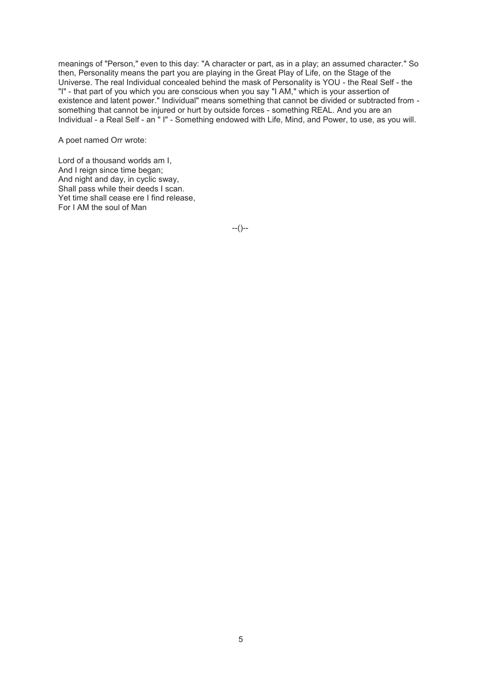meanings of "Person," even to this day: "A character or part, as in a play; an assumed character." So then, Personality means the part you are playing in the Great Play of Life, on the Stage of the Universe. The real Individual concealed behind the mask of Personality is YOU - the Real Self - the "I" - that part of you which you are conscious when you say "I AM," which is your assertion of existence and latent power." Individual" means something that cannot be divided or subtracted from something that cannot be injured or hurt by outside forces - something REAL. And you are an Individual - a Real Self - an "I" - Something endowed with Life, Mind, and Power, to use, as you will.

A poet named Orr wrote:

Lord of a thousand worlds am I, And I reign since time began; And night and day, in cyclic sway, Shall pass while their deeds I scan. Yet time shall cease ere I find release, For I AM the soul of Man

--()--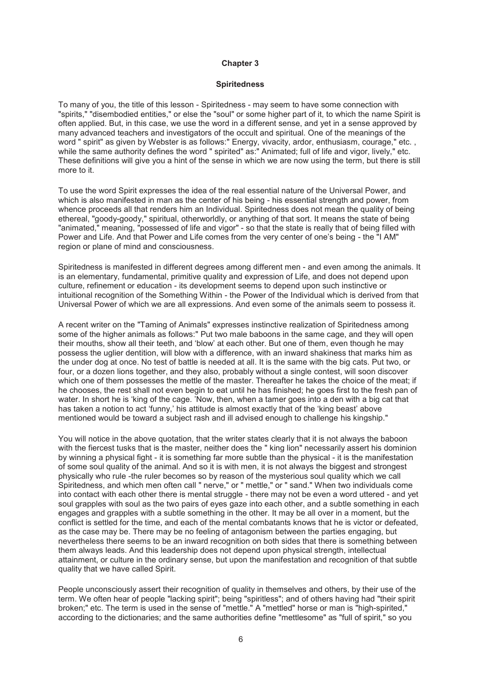#### **Spiritedness**

To many of you, the title of this lesson - Spiritedness - may seem to have some connection with "spirits," "disembodied entities," or else the "soul" or some higher part of it, to which the name Spirit is often applied. But, in this case, we use the word in a different sense, and yet in a sense approved by many advanced teachers and investigators of the occult and spiritual. One of the meanings of the word " spirit" as given by Webster is as follows:" Energy, vivacity, ardor, enthusiasm, courage," etc., while the same authority defines the word " spirited" as:" Animated; full of life and vigor, lively," etc. These definitions will give you a hint of the sense in which we are now using the term, but there is still more to it.

To use the word Spirit expresses the idea of the real essential nature of the Universal Power, and which is also manifested in man as the center of his being - his essential strength and power, from whence proceeds all that renders him an Individual. Spiritedness does not mean the quality of being ethereal, "goody-goody," spiritual, otherworldly, or anything of that sort. It means the state of being "animated," meaning, "possessed of life and vigor" - so that the state is really that of being filled with Power and Life. And that Power and Life comes from the very center of one's being - the "I AM" region or plane of mind and consciousness.

Spiritedness is manifested in different degrees among different men - and even among the animals. It is an elementary, fundamental, primitive quality and expression of Life, and does not depend upon culture, refinement or education - its development seems to depend upon such instinctive or intuitional recognition of the Something Within - the Power of the Individual which is derived from that Universal Power of which we are all expressions. And even some of the animals seem to possess it.

A recent writer on the "Taming of Animals" expresses instinctive realization of Spiritedness among some of the higher animals as follows:" Put two male baboons in the same cage, and they will open their mouths, show all their teeth, and 'blow' at each other. But one of them, even though he may possess the uglier dentition, will blow with a difference, with an inward shakiness that marks him as the under dog at once. No test of battle is needed at all. It is the same with the big cats. Put two, or four, or a dozen lions together, and they also, probably without a single contest, will soon discover which one of them possesses the mettle of the master. Thereafter he takes the choice of the meat; if he chooses, the rest shall not even begin to eat until he has finished; he goes first to the fresh pan of water. In short he is 'king of the cage. 'Now, then, when a tamer goes into a den with a big cat that has taken a notion to act 'funny,' his attitude is almost exactly that of the 'king beast' above mentioned would be toward a subject rash and ill advised enough to challenge his kingship."

You will notice in the above quotation, that the writer states clearly that it is not always the baboon with the fiercest tusks that is the master, neither does the " king lion" necessarily assert his dominion by winning a physical fight - it is something far more subtle than the physical - it is the manifestation of some soul quality of the animal. And so it is with men, it is not always the biggest and strongest physically who rule -the ruler becomes so by reason of the mysterious soul quality which we call Spiritedness, and which men often call " nerve," or " mettle," or " sand." When two individuals come into contact with each other there is mental struggle - there may not be even a word uttered - and yet soul grapples with soul as the two pairs of eyes gaze into each other, and a subtle something in each engages and grapples with a subtle something in the other. It may be all over in a moment, but the conflict is settled for the time, and each of the mental combatants knows that he is victor or defeated, as the case may be. There may be no feeling of antagonism between the parties engaging, but nevertheless there seems to be an inward recognition on both sides that there is something between them always leads. And this leadership does not depend upon physical strength, intellectual attainment, or culture in the ordinary sense, but upon the manifestation and recognition of that subtle quality that we have called Spirit.

People unconsciously assert their recognition of quality in themselves and others, by their use of the term. We often hear of people "lacking spirit"; being "spiritless"; and of others having had "their spirit broken;" etc. The term is used in the sense of "mettle." A "mettled" horse or man is "high-spirited," according to the dictionaries; and the same authorities define "mettlesome" as "full of spirit," so you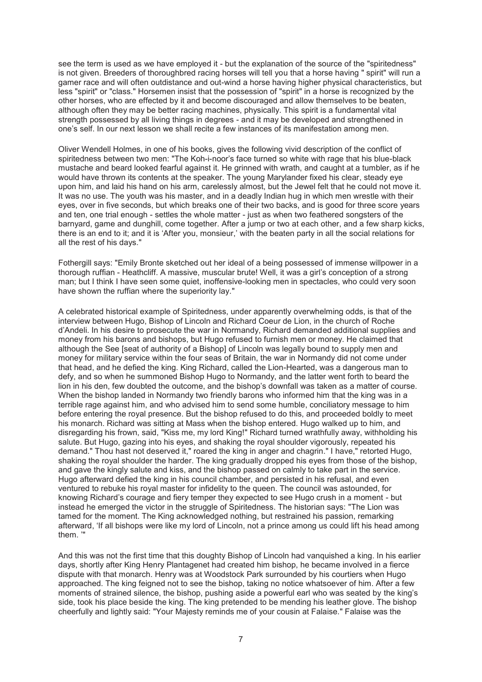see the term is used as we have employed it - but the explanation of the source of the "spiritedness" is not given. Breeders of thoroughbred racing horses will tell you that a horse having " spirit" will run a gamer race and will often outdistance and out-wind a horse having higher physical characteristics, but less "spirit" or "class." Horsemen insist that the possession of "spirit" in a horse is recognized by the other horses, who are effected by it and become discouraged and allow themselves to be beaten, although often they may be better racing machines, physically. This spirit is a fundamental vital strength possessed by all living things in degrees - and it may be developed and strengthened in one's self. In our next lesson we shall recite a few instances of its manifestation among men.

Oliver Wendell Holmes, in one of his books, gives the following vivid description of the conflict of spiritedness between two men: "The Koh-i-noor's face turned so white with rage that his blue-black mustache and beard looked fearful against it. He grinned with wrath, and caught at a tumbler, as if he would have thrown its contents at the speaker. The young Marylander fixed his clear, steady eye upon him, and laid his hand on his arm, carelessly almost, but the Jewel felt that he could not move it. It was no use. The youth was his master, and in a deadly Indian hug in which men wrestle with their eyes, over in five seconds, but which breaks one of their two backs, and is good for three score years and ten, one trial enough - settles the whole matter - just as when two feathered songsters of the barnyard, game and dunghill, come together. After a jump or two at each other, and a few sharp kicks, there is an end to it; and it is 'After you, monsieur,' with the beaten party in all the social relations for all the rest of his days."

Fothergill says: "Emily Bronte sketched out her ideal of a being possessed of immense willpower in a thorough ruffian - Heathcliff. A massive, muscular brute! Well, it was a girl's conception of a strong man; but I think I have seen some quiet, inoffensive-looking men in spectacles, who could very soon have shown the ruffian where the superiority lay."

A celebrated historical example of Spiritedness, under apparently overwhelming odds, is that of the interview between Hugo, Bishop of Lincoln and Richard Coeur de Lion, in the church of Roche d'Andeli. In his desire to prosecute the war in Normandy, Richard demanded additional supplies and money from his barons and bishops, but Hugo refused to furnish men or money. He claimed that although the See [seat of authority of a Bishop] of Lincoln was legally bound to supply men and money for military service within the four seas of Britain, the war in Normandy did not come under that head, and he defied the king. King Richard, called the Lion-Hearted, was a dangerous man to defy, and so when he summoned Bishop Hugo to Normandy, and the latter went forth to beard the lion in his den, few doubted the outcome, and the bishop's downfall was taken as a matter of course. When the bishop landed in Normandy two friendly barons who informed him that the king was in a terrible rage against him, and who advised him to send some humble, conciliatory message to him before entering the royal presence. But the bishop refused to do this, and proceeded boldly to meet his monarch. Richard was sitting at Mass when the bishop entered. Hugo walked up to him, and disregarding his frown, said, "Kiss me, my lord King!" Richard turned wrathfully away, withholding his salute. But Hugo, gazing into his eyes, and shaking the royal shoulder vigorously, repeated his demand." Thou hast not deserved it," roared the king in anger and chagrin." I have," retorted Hugo, shaking the royal shoulder the harder. The king gradually dropped his eyes from those of the bishop, and gave the kingly salute and kiss, and the bishop passed on calmly to take part in the service. Hugo afterward defied the king in his council chamber, and persisted in his refusal, and even ventured to rebuke his royal master for infidelity to the queen. The council was astounded, for knowing Richard's courage and fiery temper they expected to see Hugo crush in a moment - but instead he emerged the victor in the struggle of Spiritedness. The historian says: "The Lion was tamed for the moment. The King acknowledged nothing, but restrained his passion, remarking afterward, 'If all bishops were like my lord of Lincoln, not a prince among us could lift his head among them. '"

And this was not the first time that this doughty Bishop of Lincoln had vanquished a king. In his earlier days, shortly after King Henry Plantagenet had created him bishop, he became involved in a fierce dispute with that monarch. Henry was at Woodstock Park surrounded by his courtiers when Hugo approached. The king feigned not to see the bishop, taking no notice whatsoever of him. After a few moments of strained silence, the bishop, pushing aside a powerful earl who was seated by the king's side, took his place beside the king. The king pretended to be mending his leather glove. The bishop cheerfully and lightly said: "Your Majesty reminds me of your cousin at Falaise." Falaise was the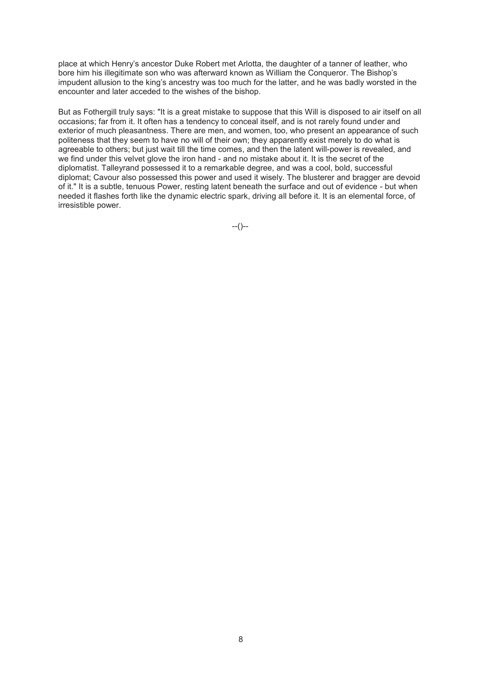place at which Henry's ancestor Duke Robert met Arlotta, the daughter of a tanner of leather, who bore him his illegitimate son who was afterward known as William the Conqueror. The Bishop's impudent allusion to the king's ancestry was too much for the latter, and he was badly worsted in the encounter and later acceded to the wishes of the bishop.

But as Fothergill truly says: "It is a great mistake to suppose that this Will is disposed to air itself on all occasions; far from it. It often has a tendency to conceal itself, and is not rarely found under and exterior of much pleasantness. There are men, and women, too, who present an appearance of such politeness that they seem to have no will of their own; they apparently exist merely to do what is agreeable to others; but just wait till the time comes, and then the latent will-power is revealed, and we find under this velvet glove the iron hand - and no mistake about it. It is the secret of the diplomatist. Talleyrand possessed it to a remarkable degree, and was a cool, bold, successful diplomat; Cavour also possessed this power and used it wisely. The blusterer and bragger are devoid of it." It is a subtle, tenuous Power, resting latent beneath the surface and out of evidence - but when needed it flashes forth like the dynamic electric spark, driving all before it. It is an elemental force, of irresistible power.

--()--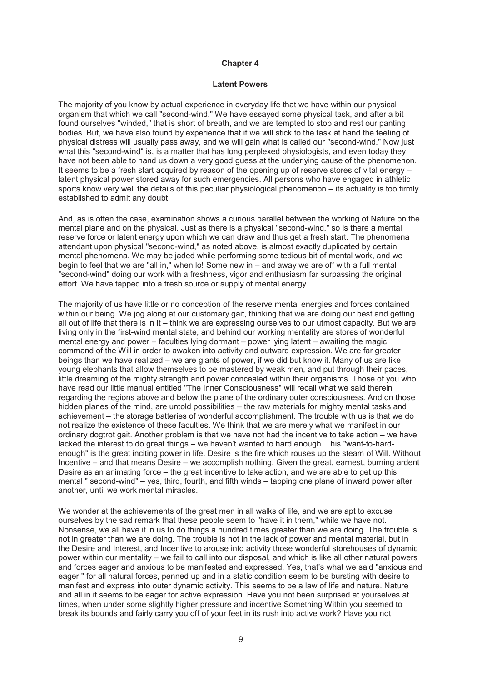#### **Latent Powers**

The majority of you know by actual experience in everyday life that we have within our physical organism that which we call "second-wind." We have essayed some physical task, and after a bit found ourselves "winded," that is short of breath, and we are tempted to stop and rest our panting bodies. But, we have also found by experience that if we will stick to the task at hand the feeling of physical distress will usually pass away, and we will gain what is called our "second-wind." Now just what this "second-wind" is, is a matter that has long perplexed physiologists, and even today they have not been able to hand us down a very good guess at the underlying cause of the phenomenon. It seems to be a fresh start acquired by reason of the opening up of reserve stores of vital energy – latent physical power stored away for such emergencies. All persons who have engaged in athletic sports know very well the details of this peculiar physiological phenomenon – its actuality is too firmly established to admit any doubt.

And, as is often the case, examination shows a curious parallel between the working of Nature on the mental plane and on the physical. Just as there is a physical "second-wind," so is there a mental reserve force or latent energy upon which we can draw and thus get a fresh start. The phenomena attendant upon physical "second-wind," as noted above, is almost exactly duplicated by certain mental phenomena. We may be jaded while performing some tedious bit of mental work, and we begin to feel that we are "all in," when lo! Some new in – and away we are off with a full mental "second-wind" doing our work with a freshness, vigor and enthusiasm far surpassing the original effort. We have tapped into a fresh source or supply of mental energy.

The majority of us have little or no conception of the reserve mental energies and forces contained within our being. We jog along at our customary gait, thinking that we are doing our best and getting all out of life that there is in it – think we are expressing ourselves to our utmost capacity. But we are living only in the first-wind mental state, and behind our working mentality are stores of wonderful mental energy and power – faculties lying dormant – power lying latent – awaiting the magic command of the Will in order to awaken into activity and outward expression. We are far greater beings than we have realized – we are giants of power, if we did but know it. Many of us are like young elephants that allow themselves to be mastered by weak men, and put through their paces, little dreaming of the mighty strength and power concealed within their organisms. Those of you who have read our little manual entitled "The Inner Consciousness" will recall what we said therein regarding the regions above and below the plane of the ordinary outer consciousness. And on those hidden planes of the mind, are untold possibilities – the raw materials for mighty mental tasks and achievement – the storage batteries of wonderful accomplishment. The trouble with us is that we do not realize the existence of these faculties. We think that we are merely what we manifest in our ordinary dogtrot gait. Another problem is that we have not had the incentive to take action – we have lacked the interest to do great things – we haven't wanted to hard enough. This "want-to-hardenough" is the great inciting power in life. Desire is the fire which rouses up the steam of Will. Without Incentive – and that means Desire – we accomplish nothing. Given the great, earnest, burning ardent Desire as an animating force – the great incentive to take action, and we are able to get up this mental " second-wind" – yes, third, fourth, and fifth winds – tapping one plane of inward power after another, until we work mental miracles.

We wonder at the achievements of the great men in all walks of life, and we are apt to excuse ourselves by the sad remark that these people seem to "have it in them," while we have not. Nonsense, we all have it in us to do things a hundred times greater than we are doing. The trouble is not in greater than we are doing. The trouble is not in the lack of power and mental material, but in the Desire and Interest, and Incentive to arouse into activity those wonderful storehouses of dynamic power within our mentality – we fail to call into our disposal, and which is like all other natural powers and forces eager and anxious to be manifested and expressed. Yes, that's what we said "anxious and eager," for all natural forces, penned up and in a static condition seem to be bursting with desire to manifest and express into outer dynamic activity. This seems to be a law of life and nature. Nature and all in it seems to be eager for active expression. Have you not been surprised at yourselves at times, when under some slightly higher pressure and incentive Something Within you seemed to break its bounds and fairly carry you off of your feet in its rush into active work? Have you not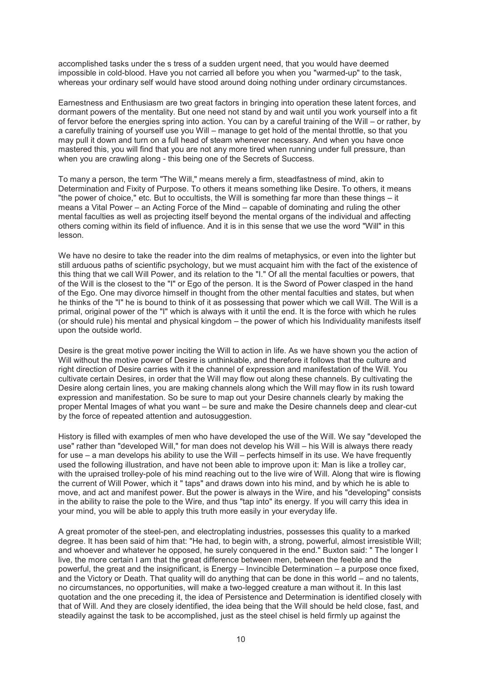accomplished tasks under the s tress of a sudden urgent need, that you would have deemed impossible in cold-blood. Have you not carried all before you when you "warmed-up" to the task, whereas your ordinary self would have stood around doing nothing under ordinary circumstances.

Earnestness and Enthusiasm are two great factors in bringing into operation these latent forces, and dormant powers of the mentality. But one need not stand by and wait until you work yourself into a fit of fervor before the energies spring into action. You can by a careful training of the Will – or rather, by a carefully training of yourself use you Will – manage to get hold of the mental throttle, so that you may pull it down and turn on a full head of steam whenever necessary. And when you have once mastered this, you will find that you are not any more tired when running under full pressure, than when you are crawling along - this being one of the Secrets of Success.

To many a person, the term "The Will," means merely a firm, steadfastness of mind, akin to Determination and Fixity of Purpose. To others it means something like Desire. To others, it means "the power of choice," etc. But to occultists, the Will is something far more than these things – it means a Vital Power – an Acting Force of the Mind – capable of dominating and ruling the other mental faculties as well as projecting itself beyond the mental organs of the individual and affecting others coming within its field of influence. And it is in this sense that we use the word "Will" in this lesson.

We have no desire to take the reader into the dim realms of metaphysics, or even into the lighter but still arduous paths of scientific psychology, but we must acquaint him with the fact of the existence of this thing that we call Will Power, and its relation to the "I." Of all the mental faculties or powers, that of the Will is the closest to the "I" or Ego of the person. It is the Sword of Power clasped in the hand of the Ego. One may divorce himself in thought from the other mental faculties and states, but when he thinks of the "I" he is bound to think of it as possessing that power which we call Will. The Will is a primal, original power of the "I" which is always with it until the end. It is the force with which he rules (or should rule) his mental and physical kingdom – the power of which his Individuality manifests itself upon the outside world.

Desire is the great motive power inciting the Will to action in life. As we have shown you the action of Will without the motive power of Desire is unthinkable, and therefore it follows that the culture and right direction of Desire carries with it the channel of expression and manifestation of the Will. You cultivate certain Desires, in order that the Will may flow out along these channels. By cultivating the Desire along certain lines, you are making channels along which the Will may flow in its rush toward expression and manifestation. So be sure to map out your Desire channels clearly by making the proper Mental Images of what you want – be sure and make the Desire channels deep and clear-cut by the force of repeated attention and autosuggestion.

History is filled with examples of men who have developed the use of the Will. We say "developed the use" rather than "developed Will," for man does not develop his Will – his Will is always there ready for use – a man develops his ability to use the Will – perfects himself in its use. We have frequently used the following illustration, and have not been able to improve upon it: Man is like a trolley car, with the upraised trolley-pole of his mind reaching out to the live wire of Will. Along that wire is flowing the current of Will Power, which it " taps" and draws down into his mind, and by which he is able to move, and act and manifest power. But the power is always in the Wire, and his "developing" consists in the ability to raise the pole to the Wire, and thus "tap into" its energy. If you will carry this idea in your mind, you will be able to apply this truth more easily in your everyday life.

A great promoter of the steel-pen, and electroplating industries, possesses this quality to a marked degree. It has been said of him that: "He had, to begin with, a strong, powerful, almost irresistible Will; and whoever and whatever he opposed, he surely conquered in the end." Buxton said: " The longer I live, the more certain I am that the great difference between men, between the feeble and the powerful, the great and the insignificant, is Energy – Invincible Determination – a purpose once fixed, and the Victory or Death. That quality will do anything that can be done in this world – and no talents, no circumstances, no opportunities, will make a two-legged creature a man without it. In this last quotation and the one preceding it, the idea of Persistence and Determination is identified closely with that of Will. And they are closely identified, the idea being that the Will should be held close, fast, and steadily against the task to be accomplished, just as the steel chisel is held firmly up against the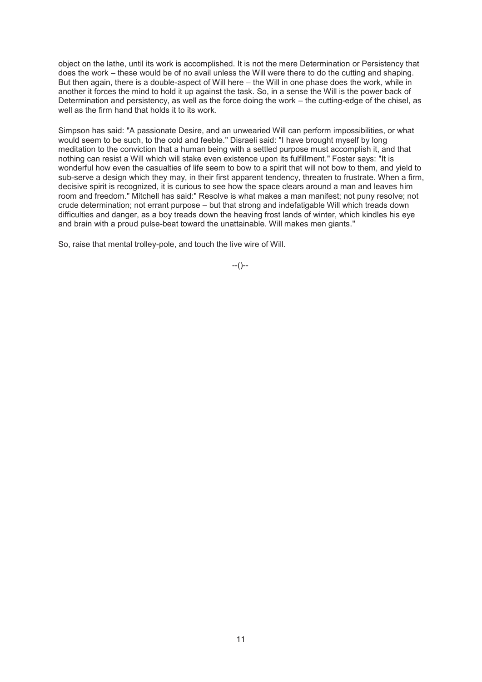object on the lathe, until its work is accomplished. It is not the mere Determination or Persistency that does the work – these would be of no avail unless the Will were there to do the cutting and shaping. But then again, there is a double-aspect of Will here – the Will in one phase does the work, while in another it forces the mind to hold it up against the task. So, in a sense the Will is the power back of Determination and persistency, as well as the force doing the work – the cutting-edge of the chisel, as well as the firm hand that holds it to its work.

Simpson has said: "A passionate Desire, and an unwearied Will can perform impossibilities, or what would seem to be such, to the cold and feeble." Disraeli said: "I have brought myself by long meditation to the conviction that a human being with a settled purpose must accomplish it, and that nothing can resist a Will which will stake even existence upon its fulfillment." Foster says: "It is wonderful how even the casualties of life seem to bow to a spirit that will not bow to them, and yield to sub-serve a design which they may, in their first apparent tendency, threaten to frustrate. When a firm, decisive spirit is recognized, it is curious to see how the space clears around a man and leaves him room and freedom." Mitchell has said:" Resolve is what makes a man manifest; not puny resolve; not crude determination; not errant purpose – but that strong and indefatigable Will which treads down difficulties and danger, as a boy treads down the heaving frost lands of winter, which kindles his eye and brain with a proud pulse-beat toward the unattainable. Will makes men giants."

So, raise that mental trolley-pole, and touch the live wire of Will.

--()--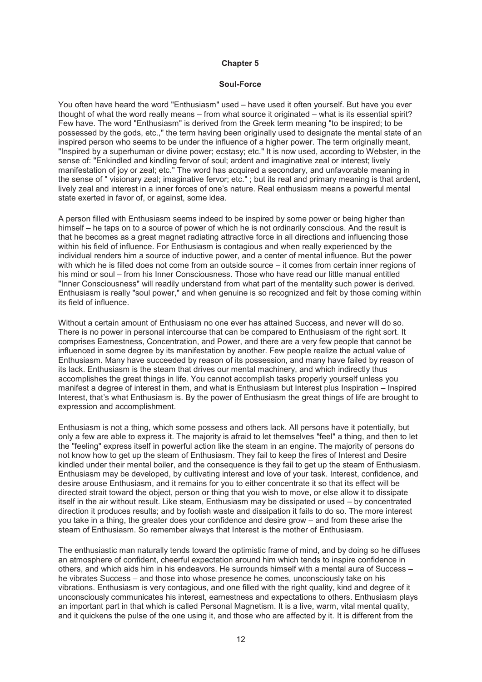#### **Soul-Force**

You often have heard the word "Enthusiasm" used – have used it often yourself. But have you ever thought of what the word really means – from what source it originated – what is its essential spirit? Few have. The word "Enthusiasm" is derived from the Greek term meaning "to be inspired; to be possessed by the gods, etc.," the term having been originally used to designate the mental state of an inspired person who seems to be under the influence of a higher power. The term originally meant, "Inspired by a superhuman or divine power; ecstasy; etc." It is now used, according to Webster, in the sense of: "Enkindled and kindling fervor of soul; ardent and imaginative zeal or interest; lively manifestation of joy or zeal; etc." The word has acquired a secondary, and unfavorable meaning in the sense of " visionary zeal; imaginative fervor; etc." ; but its real and primary meaning is that ardent, lively zeal and interest in a inner forces of one's nature. Real enthusiasm means a powerful mental state exerted in favor of, or against, some idea.

A person filled with Enthusiasm seems indeed to be inspired by some power or being higher than himself – he taps on to a source of power of which he is not ordinarily conscious. And the result is that he becomes as a great magnet radiating attractive force in all directions and influencing those within his field of influence. For Enthusiasm is contagious and when really experienced by the individual renders him a source of inductive power, and a center of mental influence. But the power with which he is filled does not come from an outside source – it comes from certain inner regions of his mind or soul – from his Inner Consciousness. Those who have read our little manual entitled "Inner Consciousness" will readily understand from what part of the mentality such power is derived. Enthusiasm is really "soul power," and when genuine is so recognized and felt by those coming within its field of influence.

Without a certain amount of Enthusiasm no one ever has attained Success, and never will do so. There is no power in personal intercourse that can be compared to Enthusiasm of the right sort. It comprises Earnestness, Concentration, and Power, and there are a very few people that cannot be influenced in some degree by its manifestation by another. Few people realize the actual value of Enthusiasm. Many have succeeded by reason of its possession, and many have failed by reason of its lack. Enthusiasm is the steam that drives our mental machinery, and which indirectly thus accomplishes the great things in life. You cannot accomplish tasks properly yourself unless you manifest a degree of interest in them, and what is Enthusiasm but Interest plus Inspiration – Inspired Interest, that's what Enthusiasm is. By the power of Enthusiasm the great things of life are brought to expression and accomplishment.

Enthusiasm is not a thing, which some possess and others lack. All persons have it potentially, but only a few are able to express it. The majority is afraid to let themselves "feel" a thing, and then to let the "feeling" express itself in powerful action like the steam in an engine. The majority of persons do not know how to get up the steam of Enthusiasm. They fail to keep the fires of Interest and Desire kindled under their mental boiler, and the consequence is they fail to get up the steam of Enthusiasm. Enthusiasm may be developed, by cultivating interest and love of your task. Interest, confidence, and desire arouse Enthusiasm, and it remains for you to either concentrate it so that its effect will be directed strait toward the object, person or thing that you wish to move, or else allow it to dissipate itself in the air without result. Like steam, Enthusiasm may be dissipated or used – by concentrated direction it produces results; and by foolish waste and dissipation it fails to do so. The more interest you take in a thing, the greater does your confidence and desire grow – and from these arise the steam of Enthusiasm. So remember always that Interest is the mother of Enthusiasm.

The enthusiastic man naturally tends toward the optimistic frame of mind, and by doing so he diffuses an atmosphere of confident, cheerful expectation around him which tends to inspire confidence in others, and which aids him in his endeavors. He surrounds himself with a mental aura of Success – he vibrates Success – and those into whose presence he comes, unconsciously take on his vibrations. Enthusiasm is very contagious, and one filled with the right quality, kind and degree of it unconsciously communicates his interest, earnestness and expectations to others. Enthusiasm plays an important part in that which is called Personal Magnetism. It is a live, warm, vital mental quality, and it quickens the pulse of the one using it, and those who are affected by it. It is different from the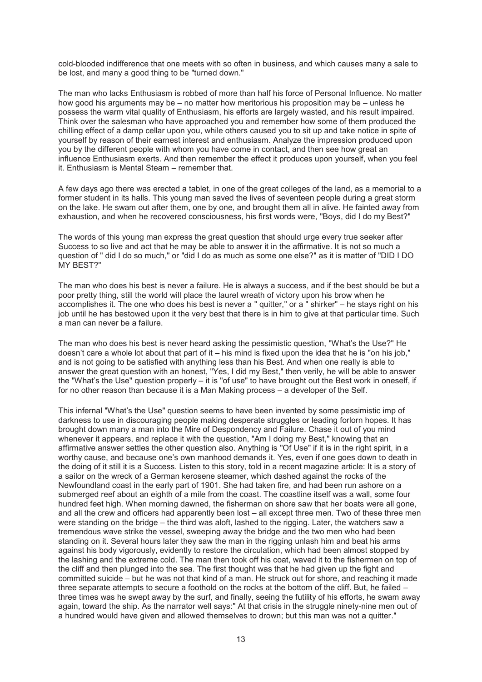cold-blooded indifference that one meets with so often in business, and which causes many a sale to be lost, and many a good thing to be "turned down."

The man who lacks Enthusiasm is robbed of more than half his force of Personal Influence. No matter how good his arguments may be – no matter how meritorious his proposition may be – unless he possess the warm vital quality of Enthusiasm, his efforts are largely wasted, and his result impaired. Think over the salesman who have approached you and remember how some of them produced the chilling effect of a damp cellar upon you, while others caused you to sit up and take notice in spite of yourself by reason of their earnest interest and enthusiasm. Analyze the impression produced upon you by the different people with whom you have come in contact, and then see how great an influence Enthusiasm exerts. And then remember the effect it produces upon yourself, when you feel it. Enthusiasm is Mental Steam – remember that.

A few days ago there was erected a tablet, in one of the great colleges of the land, as a memorial to a former student in its halls. This young man saved the lives of seventeen people during a great storm on the lake. He swam out after them, one by one, and brought them all in alive. He fainted away from exhaustion, and when he recovered consciousness, his first words were, "Boys, did I do my Best?"

The words of this young man express the great question that should urge every true seeker after Success to so live and act that he may be able to answer it in the affirmative. It is not so much a question of " did I do so much," or "did I do as much as some one else?" as it is matter of "DID I DO MY BEST?"

The man who does his best is never a failure. He is always a success, and if the best should be but a poor pretty thing, still the world will place the laurel wreath of victory upon his brow when he accomplishes it. The one who does his best is never a " quitter," or a " shirker" – he stays right on his job until he has bestowed upon it the very best that there is in him to give at that particular time. Such a man can never be a failure.

The man who does his best is never heard asking the pessimistic question, "What's the Use?" He doesn't care a whole lot about that part of it – his mind is fixed upon the idea that he is "on his job," and is not going to be satisfied with anything less than his Best. And when one really is able to answer the great question with an honest, "Yes, I did my Best," then verily, he will be able to answer the "What's the Use" question properly – it is "of use" to have brought out the Best work in oneself, if for no other reason than because it is a Man Making process – a developer of the Self.

This infernal "What's the Use" question seems to have been invented by some pessimistic imp of darkness to use in discouraging people making desperate struggles or leading forlorn hopes. It has brought down many a man into the Mire of Despondency and Failure. Chase it out of you mind whenever it appears, and replace it with the question, "Am I doing my Best," knowing that an affirmative answer settles the other question also. Anything is "Of Use" if it is in the right spirit, in a worthy cause, and because one's own manhood demands it. Yes, even if one goes down to death in the doing of it still it is a Success. Listen to this story, told in a recent magazine article: It is a story of a sailor on the wreck of a German kerosene steamer, which dashed against the rocks of the Newfoundland coast in the early part of 1901. She had taken fire, and had been run ashore on a submerged reef about an eighth of a mile from the coast. The coastline itself was a wall, some four hundred feet high. When morning dawned, the fisherman on shore saw that her boats were all gone, and all the crew and officers had apparently been lost – all except three men. Two of these three men were standing on the bridge – the third was aloft, lashed to the rigging. Later, the watchers saw a tremendous wave strike the vessel, sweeping away the bridge and the two men who had been standing on it. Several hours later they saw the man in the rigging unlash him and beat his arms against his body vigorously, evidently to restore the circulation, which had been almost stopped by the lashing and the extreme cold. The man then took off his coat, waved it to the fishermen on top of the cliff and then plunged into the sea. The first thought was that he had given up the fight and committed suicide – but he was not that kind of a man. He struck out for shore, and reaching it made three separate attempts to secure a foothold on the rocks at the bottom of the cliff. But, he failed – three times was he swept away by the surf, and finally, seeing the futility of his efforts, he swam away again, toward the ship. As the narrator well says:" At that crisis in the struggle ninety-nine men out of a hundred would have given and allowed themselves to drown; but this man was not a quitter."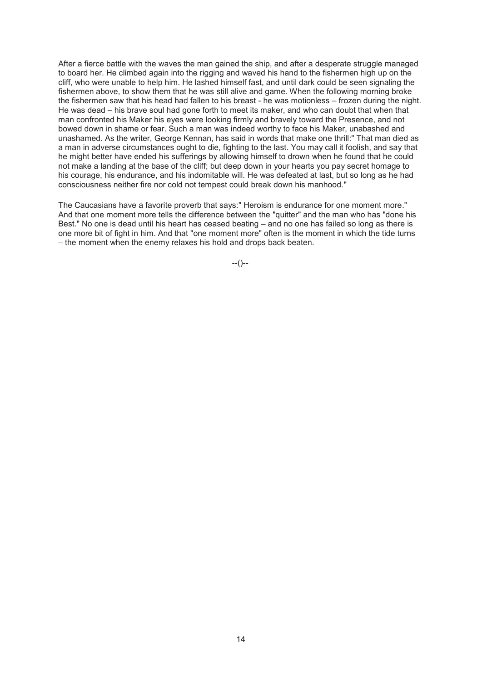After a fierce battle with the waves the man gained the ship, and after a desperate struggle managed to board her. He climbed again into the rigging and waved his hand to the fishermen high up on the cliff, who were unable to help him. He lashed himself fast, and until dark could be seen signaling the fishermen above, to show them that he was still alive and game. When the following morning broke the fishermen saw that his head had fallen to his breast - he was motionless – frozen during the night. He was dead – his brave soul had gone forth to meet its maker, and who can doubt that when that man confronted his Maker his eyes were looking firmly and bravely toward the Presence, and not bowed down in shame or fear. Such a man was indeed worthy to face his Maker, unabashed and unashamed. As the writer, George Kennan, has said in words that make one thrill:" That man died as a man in adverse circumstances ought to die, fighting to the last. You may call it foolish, and say that he might better have ended his sufferings by allowing himself to drown when he found that he could not make a landing at the base of the cliff; but deep down in your hearts you pay secret homage to his courage, his endurance, and his indomitable will. He was defeated at last, but so long as he had consciousness neither fire nor cold not tempest could break down his manhood."

The Caucasians have a favorite proverb that says:" Heroism is endurance for one moment more." And that one moment more tells the difference between the "quitter" and the man who has "done his Best." No one is dead until his heart has ceased beating – and no one has failed so long as there is one more bit of fight in him. And that "one moment more" often is the moment in which the tide turns – the moment when the enemy relaxes his hold and drops back beaten.

 $-(-)$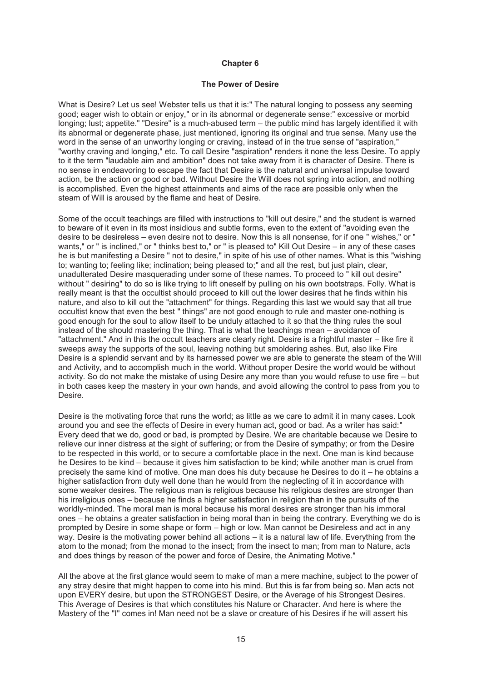#### **The Power of Desire**

What is Desire? Let us see! Webster tells us that it is:" The natural longing to possess any seeming good; eager wish to obtain or enjoy," or in its abnormal or degenerate sense:" excessive or morbid longing; lust; appetite." "Desire" is a much-abused term – the public mind has largely identified it with its abnormal or degenerate phase, just mentioned, ignoring its original and true sense. Many use the word in the sense of an unworthy longing or craving, instead of in the true sense of "aspiration," "worthy craving and longing," etc. To call Desire "aspiration" renders it none the less Desire. To apply to it the term "laudable aim and ambition" does not take away from it is character of Desire. There is no sense in endeavoring to escape the fact that Desire is the natural and universal impulse toward action, be the action or good or bad. Without Desire the Will does not spring into action, and nothing is accomplished. Even the highest attainments and aims of the race are possible only when the steam of Will is aroused by the flame and heat of Desire.

Some of the occult teachings are filled with instructions to "kill out desire," and the student is warned to beware of it even in its most insidious and subtle forms, even to the extent of "avoiding even the desire to be desireless – even desire not to desire. Now this is all nonsense, for if one " wishes," or " wants," or " is inclined," or " thinks best to," or " is pleased to" Kill Out Desire – in any of these cases he is but manifesting a Desire " not to desire," in spite of his use of other names. What is this "wishing to; wanting to; feeling like; inclination; being pleased to;" and all the rest, but just plain, clear, unadulterated Desire masquerading under some of these names. To proceed to " kill out desire" without " desiring" to do so is like trying to lift oneself by pulling on his own bootstraps. Folly. What is really meant is that the occultist should proceed to kill out the lower desires that he finds within his nature, and also to kill out the "attachment" for things. Regarding this last we would say that all true occultist know that even the best " things" are not good enough to rule and master one-nothing is good enough for the soul to allow itself to be unduly attached to it so that the thing rules the soul instead of the should mastering the thing. That is what the teachings mean – avoidance of "attachment." And in this the occult teachers are clearly right. Desire is a frightful master – like fire it sweeps away the supports of the soul, leaving nothing but smoldering ashes. But, also like Fire Desire is a splendid servant and by its harnessed power we are able to generate the steam of the Will and Activity, and to accomplish much in the world. Without proper Desire the world would be without activity. So do not make the mistake of using Desire any more than you would refuse to use fire – but in both cases keep the mastery in your own hands, and avoid allowing the control to pass from you to Desire.

Desire is the motivating force that runs the world; as little as we care to admit it in many cases. Look around you and see the effects of Desire in every human act, good or bad. As a writer has said:" Every deed that we do, good or bad, is prompted by Desire. We are charitable because we Desire to relieve our inner distress at the sight of suffering; or from the Desire of sympathy; or from the Desire to be respected in this world, or to secure a comfortable place in the next. One man is kind because he Desires to be kind – because it gives him satisfaction to be kind; while another man is cruel from precisely the same kind of motive. One man does his duty because he Desires to do it – he obtains a higher satisfaction from duty well done than he would from the neglecting of it in accordance with some weaker desires. The religious man is religious because his religious desires are stronger than his irreligious ones – because he finds a higher satisfaction in religion than in the pursuits of the worldly-minded. The moral man is moral because his moral desires are stronger than his immoral ones – he obtains a greater satisfaction in being moral than in being the contrary. Everything we do is prompted by Desire in some shape or form – high or low. Man cannot be Desireless and act in any way. Desire is the motivating power behind all actions – it is a natural law of life. Everything from the atom to the monad; from the monad to the insect; from the insect to man; from man to Nature, acts and does things by reason of the power and force of Desire, the Animating Motive."

All the above at the first glance would seem to make of man a mere machine, subject to the power of any stray desire that might happen to come into his mind. But this is far from being so. Man acts not upon EVERY desire, but upon the STRONGEST Desire, or the Average of his Strongest Desires. This Average of Desires is that which constitutes his Nature or Character. And here is where the Mastery of the "I" comes in! Man need not be a slave or creature of his Desires if he will assert his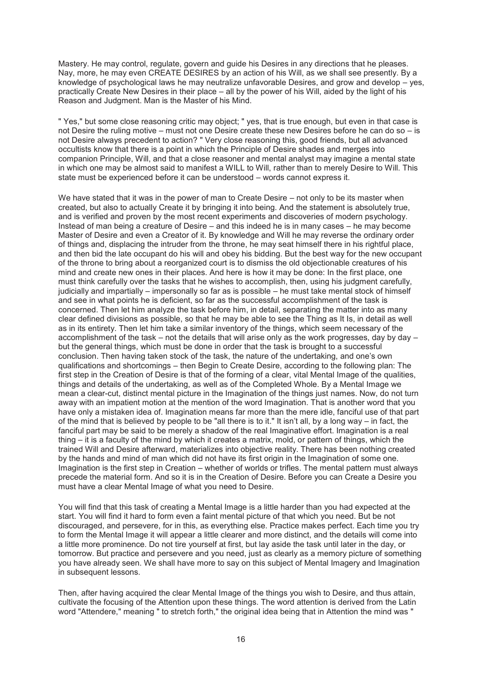Mastery. He may control, regulate, govern and guide his Desires in any directions that he pleases. Nay, more, he may even CREATE DESIRES by an action of his Will, as we shall see presently. By a knowledge of psychological laws he may neutralize unfavorable Desires, and grow and develop – yes, practically Create New Desires in their place – all by the power of his Will, aided by the light of his Reason and Judgment. Man is the Master of his Mind.

" Yes," but some close reasoning critic may object; " yes, that is true enough, but even in that case is not Desire the ruling motive – must not one Desire create these new Desires before he can do so – is not Desire always precedent to action? " Very close reasoning this, good friends, but all advanced occultists know that there is a point in which the Principle of Desire shades and merges into companion Principle, Will, and that a close reasoner and mental analyst may imagine a mental state in which one may be almost said to manifest a WILL to Will, rather than to merely Desire to Will. This state must be experienced before it can be understood – words cannot express it.

We have stated that it was in the power of man to Create Desire – not only to be its master when created, but also to actually Create it by bringing it into being. And the statement is absolutely true, and is verified and proven by the most recent experiments and discoveries of modern psychology. Instead of man being a creature of Desire – and this indeed he is in many cases – he may become Master of Desire and even a Creator of it. By knowledge and Will he may reverse the ordinary order of things and, displacing the intruder from the throne, he may seat himself there in his rightful place, and then bid the late occupant do his will and obey his bidding. But the best way for the new occupant of the throne to bring about a reorganized court is to dismiss the old objectionable creatures of his mind and create new ones in their places. And here is how it may be done: In the first place, one must think carefully over the tasks that he wishes to accomplish, then, using his judgment carefully, judicially and impartially – impersonally so far as is possible – he must take mental stock of himself and see in what points he is deficient, so far as the successful accomplishment of the task is concerned. Then let him analyze the task before him, in detail, separating the matter into as many clear defined divisions as possible, so that he may be able to see the Thing as It Is, in detail as well as in its entirety. Then let him take a similar inventory of the things, which seem necessary of the accomplishment of the task – not the details that will arise only as the work progresses, day by day – but the general things, which must be done in order that the task is brought to a successful conclusion. Then having taken stock of the task, the nature of the undertaking, and one's own qualifications and shortcomings – then Begin to Create Desire, according to the following plan: The first step in the Creation of Desire is that of the forming of a clear, vital Mental Image of the qualities, things and details of the undertaking, as well as of the Completed Whole. By a Mental Image we mean a clear-cut, distinct mental picture in the Imagination of the things just names. Now, do not turn away with an impatient motion at the mention of the word Imagination. That is another word that you have only a mistaken idea of. Imagination means far more than the mere idle, fanciful use of that part of the mind that is believed by people to be "all there is to it." It isn't all, by a long way – in fact, the fanciful part may be said to be merely a shadow of the real Imaginative effort. Imagination is a real thing – it is a faculty of the mind by which it creates a matrix, mold, or pattern of things, which the trained Will and Desire afterward, materializes into objective reality. There has been nothing created by the hands and mind of man which did not have its first origin in the Imagination of some one. Imagination is the first step in Creation – whether of worlds or trifles. The mental pattern must always precede the material form. And so it is in the Creation of Desire. Before you can Create a Desire you must have a clear Mental Image of what you need to Desire.

You will find that this task of creating a Mental Image is a little harder than you had expected at the start. You will find it hard to form even a faint mental picture of that which you need. But be not discouraged, and persevere, for in this, as everything else. Practice makes perfect. Each time you try to form the Mental Image it will appear a little clearer and more distinct, and the details will come into a little more prominence. Do not tire yourself at first, but lay aside the task until later in the day, or tomorrow. But practice and persevere and you need, just as clearly as a memory picture of something you have already seen. We shall have more to say on this subject of Mental Imagery and Imagination in subsequent lessons.

Then, after having acquired the clear Mental Image of the things you wish to Desire, and thus attain, cultivate the focusing of the Attention upon these things. The word attention is derived from the Latin word "Attendere," meaning " to stretch forth," the original idea being that in Attention the mind was "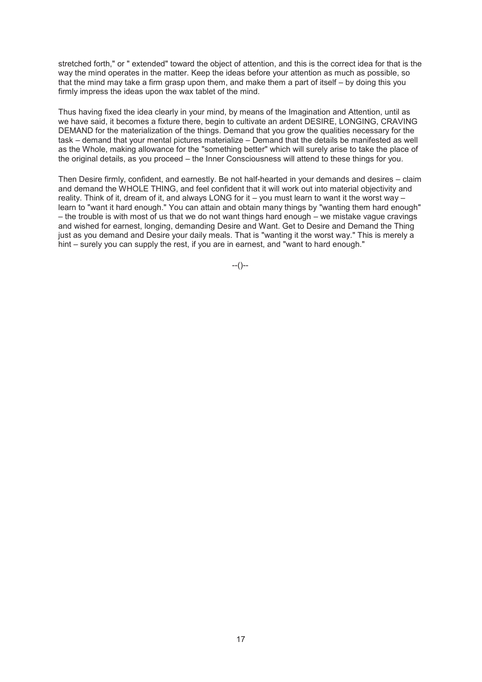stretched forth," or " extended" toward the object of attention, and this is the correct idea for that is the way the mind operates in the matter. Keep the ideas before your attention as much as possible, so that the mind may take a firm grasp upon them, and make them a part of itself – by doing this you firmly impress the ideas upon the wax tablet of the mind.

Thus having fixed the idea clearly in your mind, by means of the Imagination and Attention, until as we have said, it becomes a fixture there, begin to cultivate an ardent DESIRE, LONGING, CRAVING DEMAND for the materialization of the things. Demand that you grow the qualities necessary for the task – demand that your mental pictures materialize – Demand that the details be manifested as well as the Whole, making allowance for the "something better" which will surely arise to take the place of the original details, as you proceed – the Inner Consciousness will attend to these things for you.

Then Desire firmly, confident, and earnestly. Be not half-hearted in your demands and desires – claim and demand the WHOLE THING, and feel confident that it will work out into material objectivity and reality. Think of it, dream of it, and always LONG for it – you must learn to want it the worst way – learn to "want it hard enough." You can attain and obtain many things by "wanting them hard enough" – the trouble is with most of us that we do not want things hard enough – we mistake vague cravings and wished for earnest, longing, demanding Desire and Want. Get to Desire and Demand the Thing just as you demand and Desire your daily meals. That is "wanting it the worst way." This is merely a hint – surely you can supply the rest, if you are in earnest, and "want to hard enough."

 $-(-)$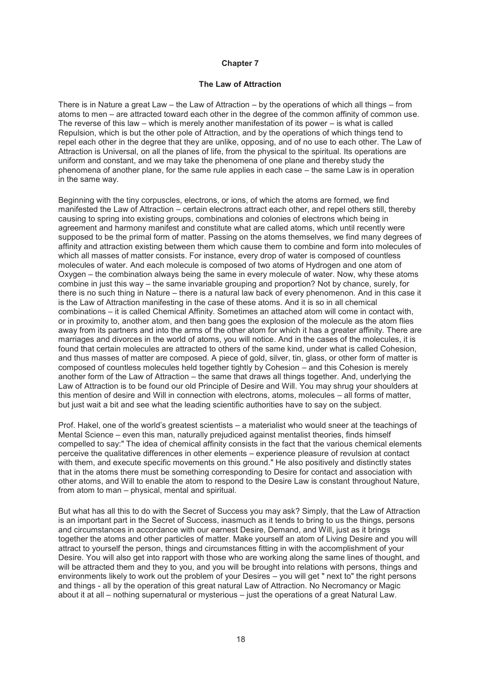### **The Law of Attraction**

There is in Nature a great Law – the Law of Attraction – by the operations of which all things – from atoms to men – are attracted toward each other in the degree of the common affinity of common use. The reverse of this law – which is merely another manifestation of its power – is what is called Repulsion, which is but the other pole of Attraction, and by the operations of which things tend to repel each other in the degree that they are unlike, opposing, and of no use to each other. The Law of Attraction is Universal, on all the planes of life, from the physical to the spiritual. Its operations are uniform and constant, and we may take the phenomena of one plane and thereby study the phenomena of another plane, for the same rule applies in each case – the same Law is in operation in the same way.

Beginning with the tiny corpuscles, electrons, or ions, of which the atoms are formed, we find manifested the Law of Attraction – certain electrons attract each other, and repel others still, thereby causing to spring into existing groups, combinations and colonies of electrons which being in agreement and harmony manifest and constitute what are called atoms, which until recently were supposed to be the primal form of matter. Passing on the atoms themselves, we find many degrees of affinity and attraction existing between them which cause them to combine and form into molecules of which all masses of matter consists. For instance, every drop of water is composed of countless molecules of water. And each molecule is composed of two atoms of Hydrogen and one atom of Oxygen – the combination always being the same in every molecule of water. Now, why these atoms combine in just this way – the same invariable grouping and proportion? Not by chance, surely, for there is no such thing in Nature – there is a natural law back of every phenomenon. And in this case it is the Law of Attraction manifesting in the case of these atoms. And it is so in all chemical combinations – it is called Chemical Affinity. Sometimes an attached atom will come in contact with, or in proximity to, another atom, and then bang goes the explosion of the molecule as the atom flies away from its partners and into the arms of the other atom for which it has a greater affinity. There are marriages and divorces in the world of atoms, you will notice. And in the cases of the molecules, it is found that certain molecules are attracted to others of the same kind, under what is called Cohesion, and thus masses of matter are composed. A piece of gold, silver, tin, glass, or other form of matter is composed of countless molecules held together tightly by Cohesion – and this Cohesion is merely another form of the Law of Attraction – the same that draws all things together. And, underlying the Law of Attraction is to be found our old Principle of Desire and Will. You may shrug your shoulders at this mention of desire and Will in connection with electrons, atoms, molecules – all forms of matter, but just wait a bit and see what the leading scientific authorities have to say on the subject.

Prof. Hakel, one of the world's greatest scientists – a materialist who would sneer at the teachings of Mental Science – even this man, naturally prejudiced against mentalist theories, finds himself compelled to say:" The idea of chemical affinity consists in the fact that the various chemical elements perceive the qualitative differences in other elements – experience pleasure of revulsion at contact with them, and execute specific movements on this ground." He also positively and distinctly states that in the atoms there must be something corresponding to Desire for contact and association with other atoms, and Will to enable the atom to respond to the Desire Law is constant throughout Nature, from atom to man – physical, mental and spiritual.

But what has all this to do with the Secret of Success you may ask? Simply, that the Law of Attraction is an important part in the Secret of Success, inasmuch as it tends to bring to us the things, persons and circumstances in accordance with our earnest Desire, Demand, and Will, just as it brings together the atoms and other particles of matter. Make yourself an atom of Living Desire and you will attract to yourself the person, things and circumstances fitting in with the accomplishment of your Desire. You will also get into rapport with those who are working along the same lines of thought, and will be attracted them and they to you, and you will be brought into relations with persons, things and environments likely to work out the problem of your Desires – you will get " next to" the right persons and things - all by the operation of this great natural Law of Attraction. No Necromancy or Magic about it at all – nothing supernatural or mysterious – just the operations of a great Natural Law.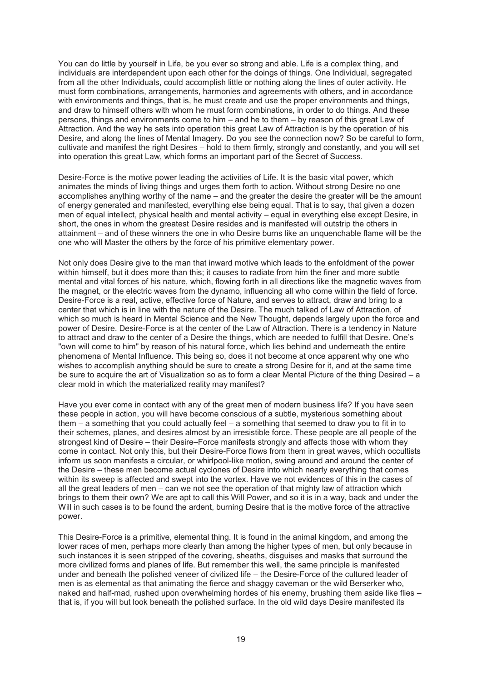You can do little by yourself in Life, be you ever so strong and able. Life is a complex thing, and individuals are interdependent upon each other for the doings of things. One Individual, segregated from all the other Individuals, could accomplish little or nothing along the lines of outer activity. He must form combinations, arrangements, harmonies and agreements with others, and in accordance with environments and things, that is, he must create and use the proper environments and things, and draw to himself others with whom he must form combinations, in order to do things. And these persons, things and environments come to him – and he to them – by reason of this great Law of Attraction. And the way he sets into operation this great Law of Attraction is by the operation of his Desire, and along the lines of Mental Imagery. Do you see the connection now? So be careful to form, cultivate and manifest the right Desires – hold to them firmly, strongly and constantly, and you will set into operation this great Law, which forms an important part of the Secret of Success.

Desire-Force is the motive power leading the activities of Life. It is the basic vital power, which animates the minds of living things and urges them forth to action. Without strong Desire no one accomplishes anything worthy of the name – and the greater the desire the greater will be the amount of energy generated and manifested, everything else being equal. That is to say, that given a dozen men of equal intellect, physical health and mental activity – equal in everything else except Desire, in short, the ones in whom the greatest Desire resides and is manifested will outstrip the others in attainment – and of these winners the one in who Desire burns like an unquenchable flame will be the one who will Master the others by the force of his primitive elementary power.

Not only does Desire give to the man that inward motive which leads to the enfoldment of the power within himself, but it does more than this; it causes to radiate from him the finer and more subtle mental and vital forces of his nature, which, flowing forth in all directions like the magnetic waves from the magnet, or the electric waves from the dynamo, influencing all who come within the field of force. Desire-Force is a real, active, effective force of Nature, and serves to attract, draw and bring to a center that which is in line with the nature of the Desire. The much talked of Law of Attraction, of which so much is heard in Mental Science and the New Thought, depends largely upon the force and power of Desire. Desire-Force is at the center of the Law of Attraction. There is a tendency in Nature to attract and draw to the center of a Desire the things, which are needed to fulfill that Desire. One's "own will come to him" by reason of his natural force, which lies behind and underneath the entire phenomena of Mental Influence. This being so, does it not become at once apparent why one who wishes to accomplish anything should be sure to create a strong Desire for it, and at the same time be sure to acquire the art of Visualization so as to form a clear Mental Picture of the thing Desired – a clear mold in which the materialized reality may manifest?

Have you ever come in contact with any of the great men of modern business life? If you have seen these people in action, you will have become conscious of a subtle, mysterious something about them – a something that you could actually feel – a something that seemed to draw you to fit in to their schemes, planes, and desires almost by an irresistible force. These people are all people of the strongest kind of Desire – their Desire–Force manifests strongly and affects those with whom they come in contact. Not only this, but their Desire-Force flows from them in great waves, which occultists inform us soon manifests a circular, or whirlpool-like motion, swing around and around the center of the Desire – these men become actual cyclones of Desire into which nearly everything that comes within its sweep is affected and swept into the vortex. Have we not evidences of this in the cases of all the great leaders of men – can we not see the operation of that mighty law of attraction which brings to them their own? We are apt to call this Will Power, and so it is in a way, back and under the Will in such cases is to be found the ardent, burning Desire that is the motive force of the attractive power.

This Desire-Force is a primitive, elemental thing. It is found in the animal kingdom, and among the lower races of men, perhaps more clearly than among the higher types of men, but only because in such instances it is seen stripped of the covering, sheaths, disguises and masks that surround the more civilized forms and planes of life. But remember this well, the same principle is manifested under and beneath the polished veneer of civilized life – the Desire-Force of the cultured leader of men is as elemental as that animating the fierce and shaggy caveman or the wild Berserker who, naked and half-mad, rushed upon overwhelming hordes of his enemy, brushing them aside like flies – that is, if you will but look beneath the polished surface. In the old wild days Desire manifested its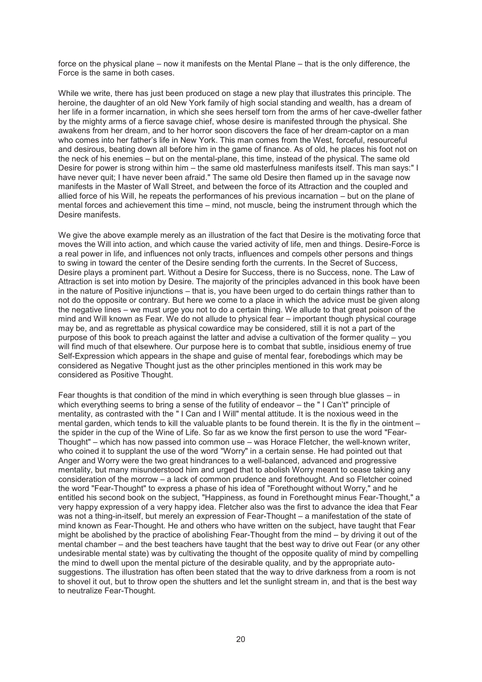force on the physical plane – now it manifests on the Mental Plane – that is the only difference, the Force is the same in both cases.

While we write, there has just been produced on stage a new play that illustrates this principle. The heroine, the daughter of an old New York family of high social standing and wealth, has a dream of her life in a former incarnation, in which she sees herself torn from the arms of her cave-dweller father by the mighty arms of a fierce savage chief, whose desire is manifested through the physical. She awakens from her dream, and to her horror soon discovers the face of her dream-captor on a man who comes into her father's life in New York. This man comes from the West, forceful, resourceful and desirous, beating down all before him in the game of finance. As of old, he places his foot not on the neck of his enemies – but on the mental-plane, this time, instead of the physical. The same old Desire for power is strong within him – the same old masterfulness manifests itself. This man says:" I have never quit; I have never been afraid." The same old Desire then flamed up in the savage now manifests in the Master of Wall Street, and between the force of its Attraction and the coupled and allied force of his Will, he repeats the performances of his previous incarnation – but on the plane of mental forces and achievement this time – mind, not muscle, being the instrument through which the Desire manifests.

We give the above example merely as an illustration of the fact that Desire is the motivating force that moves the Will into action, and which cause the varied activity of life, men and things. Desire-Force is a real power in life, and influences not only tracts, influences and compels other persons and things to swing in toward the center of the Desire sending forth the currents. In the Secret of Success, Desire plays a prominent part. Without a Desire for Success, there is no Success, none. The Law of Attraction is set into motion by Desire. The majority of the principles advanced in this book have been in the nature of Positive injunctions – that is, you have been urged to do certain things rather than to not do the opposite or contrary. But here we come to a place in which the advice must be given along the negative lines – we must urge you not to do a certain thing. We allude to that great poison of the mind and Will known as Fear. We do not allude to physical fear – important though physical courage may be, and as regrettable as physical cowardice may be considered, still it is not a part of the purpose of this book to preach against the latter and advise a cultivation of the former quality – you will find much of that elsewhere. Our purpose here is to combat that subtle, insidious enemy of true Self-Expression which appears in the shape and guise of mental fear, forebodings which may be considered as Negative Thought just as the other principles mentioned in this work may be considered as Positive Thought.

Fear thoughts is that condition of the mind in which everything is seen through blue glasses – in which everything seems to bring a sense of the futility of endeavor – the " I Can't" principle of mentality, as contrasted with the " I Can and I Will" mental attitude. It is the noxious weed in the mental garden, which tends to kill the valuable plants to be found therein. It is the fly in the ointment – the spider in the cup of the Wine of Life. So far as we know the first person to use the word "Fear-Thought" – which has now passed into common use – was Horace Fletcher, the well-known writer, who coined it to supplant the use of the word "Worry" in a certain sense. He had pointed out that Anger and Worry were the two great hindrances to a well-balanced, advanced and progressive mentality, but many misunderstood him and urged that to abolish Worry meant to cease taking any consideration of the morrow – a lack of common prudence and forethought. And so Fletcher coined the word "Fear-Thought" to express a phase of his idea of "Forethought without Worry," and he entitled his second book on the subject, "Happiness, as found in Forethought minus Fear-Thought," a very happy expression of a very happy idea. Fletcher also was the first to advance the idea that Fear was not a thing-in-itself, but merely an expression of Fear-Thought – a manifestation of the state of mind known as Fear-Thought. He and others who have written on the subject, have taught that Fear might be abolished by the practice of abolishing Fear-Thought from the mind – by driving it out of the mental chamber – and the best teachers have taught that the best way to drive out Fear (or any other undesirable mental state) was by cultivating the thought of the opposite quality of mind by compelling the mind to dwell upon the mental picture of the desirable quality, and by the appropriate autosuggestions. The illustration has often been stated that the way to drive darkness from a room is not to shovel it out, but to throw open the shutters and let the sunlight stream in, and that is the best way to neutralize Fear-Thought.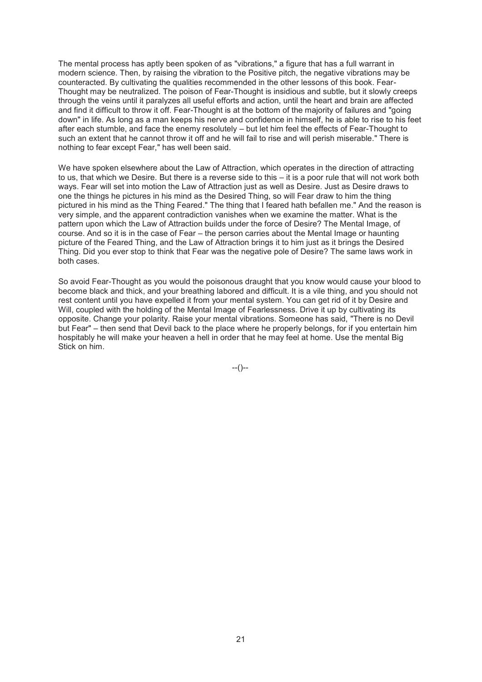The mental process has aptly been spoken of as "vibrations," a figure that has a full warrant in modern science. Then, by raising the vibration to the Positive pitch, the negative vibrations may be counteracted. By cultivating the qualities recommended in the other lessons of this book. Fear-Thought may be neutralized. The poison of Fear-Thought is insidious and subtle, but it slowly creeps through the veins until it paralyzes all useful efforts and action, until the heart and brain are affected and find it difficult to throw it off. Fear-Thought is at the bottom of the majority of failures and "going down" in life. As long as a man keeps his nerve and confidence in himself, he is able to rise to his feet after each stumble, and face the enemy resolutely – but let him feel the effects of Fear-Thought to such an extent that he cannot throw it off and he will fail to rise and will perish miserable." There is nothing to fear except Fear," has well been said.

We have spoken elsewhere about the Law of Attraction, which operates in the direction of attracting to us, that which we Desire. But there is a reverse side to this – it is a poor rule that will not work both ways. Fear will set into motion the Law of Attraction just as well as Desire. Just as Desire draws to one the things he pictures in his mind as the Desired Thing, so will Fear draw to him the thing pictured in his mind as the Thing Feared." The thing that I feared hath befallen me." And the reason is very simple, and the apparent contradiction vanishes when we examine the matter. What is the pattern upon which the Law of Attraction builds under the force of Desire? The Mental Image, of course. And so it is in the case of Fear – the person carries about the Mental Image or haunting picture of the Feared Thing, and the Law of Attraction brings it to him just as it brings the Desired Thing. Did you ever stop to think that Fear was the negative pole of Desire? The same laws work in both cases.

So avoid Fear-Thought as you would the poisonous draught that you know would cause your blood to become black and thick, and your breathing labored and difficult. It is a vile thing, and you should not rest content until you have expelled it from your mental system. You can get rid of it by Desire and Will, coupled with the holding of the Mental Image of Fearlessness. Drive it up by cultivating its opposite. Change your polarity. Raise your mental vibrations. Someone has said, "There is no Devil but Fear" – then send that Devil back to the place where he properly belongs, for if you entertain him hospitably he will make your heaven a hell in order that he may feel at home. Use the mental Big Stick on him.

--()--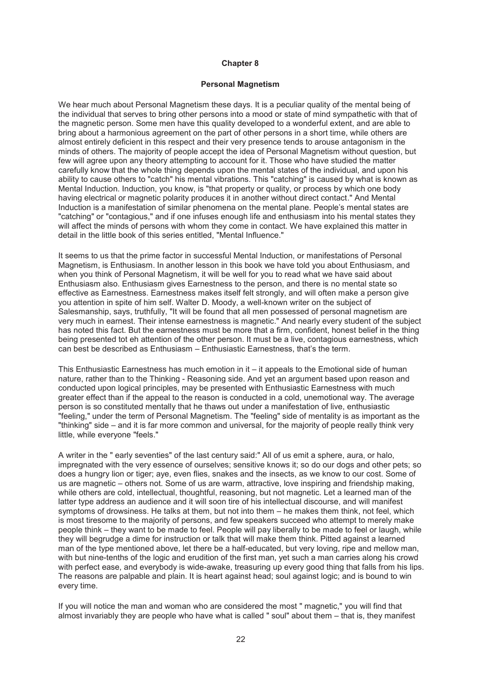#### **Personal Magnetism**

We hear much about Personal Magnetism these days. It is a peculiar quality of the mental being of the individual that serves to bring other persons into a mood or state of mind sympathetic with that of the magnetic person. Some men have this quality developed to a wonderful extent, and are able to bring about a harmonious agreement on the part of other persons in a short time, while others are almost entirely deficient in this respect and their very presence tends to arouse antagonism in the minds of others. The majority of people accept the idea of Personal Magnetism without question, but few will agree upon any theory attempting to account for it. Those who have studied the matter carefully know that the whole thing depends upon the mental states of the individual, and upon his ability to cause others to "catch" his mental vibrations. This "catching" is caused by what is known as Mental Induction. Induction, you know, is "that property or quality, or process by which one body having electrical or magnetic polarity produces it in another without direct contact." And Mental Induction is a manifestation of similar phenomena on the mental plane. People's mental states are "catching" or "contagious," and if one infuses enough life and enthusiasm into his mental states they will affect the minds of persons with whom they come in contact. We have explained this matter in detail in the little book of this series entitled, "Mental Influence."

It seems to us that the prime factor in successful Mental Induction, or manifestations of Personal Magnetism, is Enthusiasm. In another lesson in this book we have told you about Enthusiasm, and when you think of Personal Magnetism, it will be well for you to read what we have said about Enthusiasm also. Enthusiasm gives Earnestness to the person, and there is no mental state so effective as Earnestness. Earnestness makes itself felt strongly, and will often make a person give you attention in spite of him self. Walter D. Moody, a well-known writer on the subject of Salesmanship, says, truthfully, "It will be found that all men possessed of personal magnetism are very much in earnest. Their intense earnestness is magnetic." And nearly every student of the subject has noted this fact. But the earnestness must be more that a firm, confident, honest belief in the thing being presented tot eh attention of the other person. It must be a live, contagious earnestness, which can best be described as Enthusiasm – Enthusiastic Earnestness, that's the term.

This Enthusiastic Earnestness has much emotion in it – it appeals to the Emotional side of human nature, rather than to the Thinking - Reasoning side. And yet an argument based upon reason and conducted upon logical principles, may be presented with Enthusiastic Earnestness with much greater effect than if the appeal to the reason is conducted in a cold, unemotional way. The average person is so constituted mentally that he thaws out under a manifestation of live, enthusiastic "feeling," under the term of Personal Magnetism. The "feeling" side of mentality is as important as the "thinking" side – and it is far more common and universal, for the majority of people really think very little, while everyone "feels."

A writer in the " early seventies" of the last century said:" All of us emit a sphere, aura, or halo, impregnated with the very essence of ourselves; sensitive knows it; so do our dogs and other pets; so does a hungry lion or tiger; aye, even flies, snakes and the insects, as we know to our cost. Some of us are magnetic – others not. Some of us are warm, attractive, love inspiring and friendship making, while others are cold, intellectual, thoughtful, reasoning, but not magnetic. Let a learned man of the latter type address an audience and it will soon tire of his intellectual discourse, and will manifest symptoms of drowsiness. He talks at them, but not into them – he makes them think, not feel, which is most tiresome to the majority of persons, and few speakers succeed who attempt to merely make people think – they want to be made to feel. People will pay liberally to be made to feel or laugh, while they will begrudge a dime for instruction or talk that will make them think. Pitted against a learned man of the type mentioned above, let there be a half-educated, but very loving, ripe and mellow man, with but nine-tenths of the logic and erudition of the first man, yet such a man carries along his crowd with perfect ease, and everybody is wide-awake, treasuring up every good thing that falls from his lips. The reasons are palpable and plain. It is heart against head; soul against logic; and is bound to win every time.

If you will notice the man and woman who are considered the most " magnetic," you will find that almost invariably they are people who have what is called " soul" about them – that is, they manifest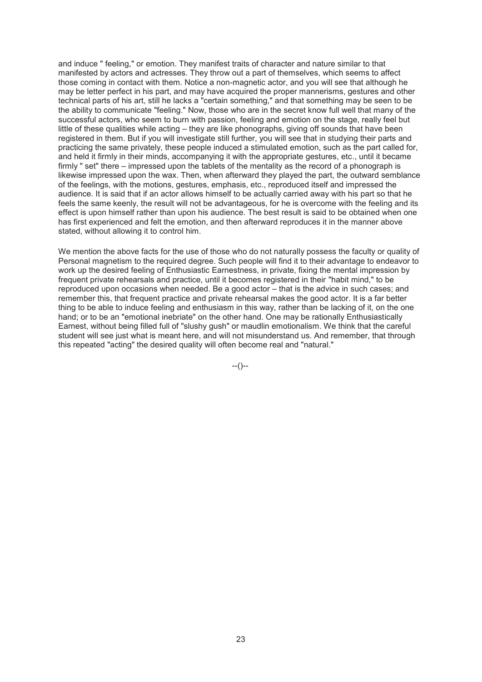and induce " feeling," or emotion. They manifest traits of character and nature similar to that manifested by actors and actresses. They throw out a part of themselves, which seems to affect those coming in contact with them. Notice a non-magnetic actor, and you will see that although he may be letter perfect in his part, and may have acquired the proper mannerisms, gestures and other technical parts of his art, still he lacks a "certain something," and that something may be seen to be the ability to communicate "feeling." Now, those who are in the secret know full well that many of the successful actors, who seem to burn with passion, feeling and emotion on the stage, really feel but little of these qualities while acting – they are like phonographs, giving off sounds that have been registered in them. But if you will investigate still further, you will see that in studying their parts and practicing the same privately, these people induced a stimulated emotion, such as the part called for, and held it firmly in their minds, accompanying it with the appropriate gestures, etc., until it became firmly " set" there – impressed upon the tablets of the mentality as the record of a phonograph is likewise impressed upon the wax. Then, when afterward they played the part, the outward semblance of the feelings, with the motions, gestures, emphasis, etc., reproduced itself and impressed the audience. It is said that if an actor allows himself to be actually carried away with his part so that he feels the same keenly, the result will not be advantageous, for he is overcome with the feeling and its effect is upon himself rather than upon his audience. The best result is said to be obtained when one has first experienced and felt the emotion, and then afterward reproduces it in the manner above stated, without allowing it to control him.

We mention the above facts for the use of those who do not naturally possess the faculty or quality of Personal magnetism to the required degree. Such people will find it to their advantage to endeavor to work up the desired feeling of Enthusiastic Earnestness, in private, fixing the mental impression by frequent private rehearsals and practice, until it becomes registered in their "habit mind," to be reproduced upon occasions when needed. Be a good actor – that is the advice in such cases; and remember this, that frequent practice and private rehearsal makes the good actor. It is a far better thing to be able to induce feeling and enthusiasm in this way, rather than be lacking of it, on the one hand; or to be an "emotional inebriate" on the other hand. One may be rationally Enthusiastically Earnest, without being filled full of "slushy gush" or maudlin emotionalism. We think that the careful student will see just what is meant here, and will not misunderstand us. And remember, that through this repeated "acting" the desired quality will often become real and "natural."

 $-(-)$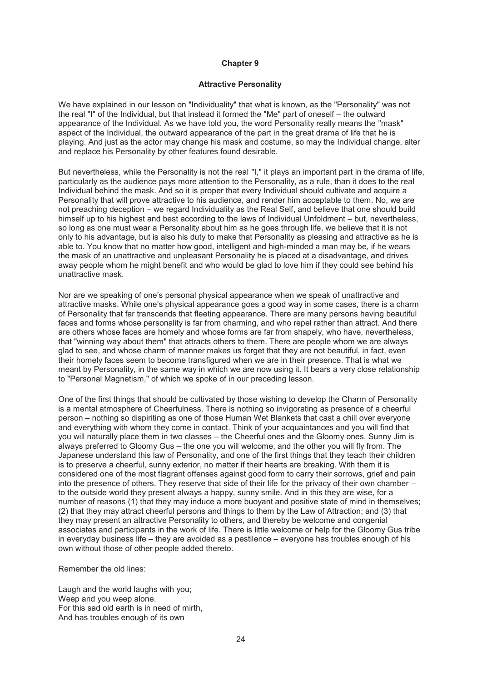#### **Attractive Personality**

We have explained in our lesson on "Individuality" that what is known, as the "Personality" was not the real "I" of the Individual, but that instead it formed the "Me" part of oneself – the outward appearance of the Individual. As we have told you, the word Personality really means the "mask" aspect of the Individual, the outward appearance of the part in the great drama of life that he is playing. And just as the actor may change his mask and costume, so may the Individual change, alter and replace his Personality by other features found desirable.

But nevertheless, while the Personality is not the real "I," it plays an important part in the drama of life, particularly as the audience pays more attention to the Personality, as a rule, than it does to the real Individual behind the mask. And so it is proper that every Individual should cultivate and acquire a Personality that will prove attractive to his audience, and render him acceptable to them. No, we are not preaching deception – we regard Individuality as the Real Self, and believe that one should build himself up to his highest and best according to the laws of Individual Unfoldment – but, nevertheless, so long as one must wear a Personality about him as he goes through life, we believe that it is not only to his advantage, but is also his duty to make that Personality as pleasing and attractive as he is able to. You know that no matter how good, intelligent and high-minded a man may be, if he wears the mask of an unattractive and unpleasant Personality he is placed at a disadvantage, and drives away people whom he might benefit and who would be glad to love him if they could see behind his unattractive mask.

Nor are we speaking of one's personal physical appearance when we speak of unattractive and attractive masks. While one's physical appearance goes a good way in some cases, there is a charm of Personality that far transcends that fleeting appearance. There are many persons having beautiful faces and forms whose personality is far from charming, and who repel rather than attract. And there are others whose faces are homely and whose forms are far from shapely, who have, nevertheless, that "winning way about them" that attracts others to them. There are people whom we are always glad to see, and whose charm of manner makes us forget that they are not beautiful, in fact, even their homely faces seem to become transfigured when we are in their presence. That is what we meant by Personality, in the same way in which we are now using it. It bears a very close relationship to "Personal Magnetism," of which we spoke of in our preceding lesson.

One of the first things that should be cultivated by those wishing to develop the Charm of Personality is a mental atmosphere of Cheerfulness. There is nothing so invigorating as presence of a cheerful person – nothing so dispiriting as one of those Human Wet Blankets that cast a chill over everyone and everything with whom they come in contact. Think of your acquaintances and you will find that you will naturally place them in two classes – the Cheerful ones and the Gloomy ones. Sunny Jim is always preferred to Gloomy Gus – the one you will welcome, and the other you will fly from. The Japanese understand this law of Personality, and one of the first things that they teach their children is to preserve a cheerful, sunny exterior, no matter if their hearts are breaking. With them it is considered one of the most flagrant offenses against good form to carry their sorrows, grief and pain into the presence of others. They reserve that side of their life for the privacy of their own chamber – to the outside world they present always a happy, sunny smile. And in this they are wise, for a number of reasons (1) that they may induce a more buoyant and positive state of mind in themselves; (2) that they may attract cheerful persons and things to them by the Law of Attraction; and (3) that they may present an attractive Personality to others, and thereby be welcome and congenial associates and participants in the work of life. There is little welcome or help for the Gloomy Gus tribe in everyday business life – they are avoided as a pestilence – everyone has troubles enough of his own without those of other people added thereto.

Remember the old lines:

Laugh and the world laughs with you; Weep and you weep alone. For this sad old earth is in need of mirth, And has troubles enough of its own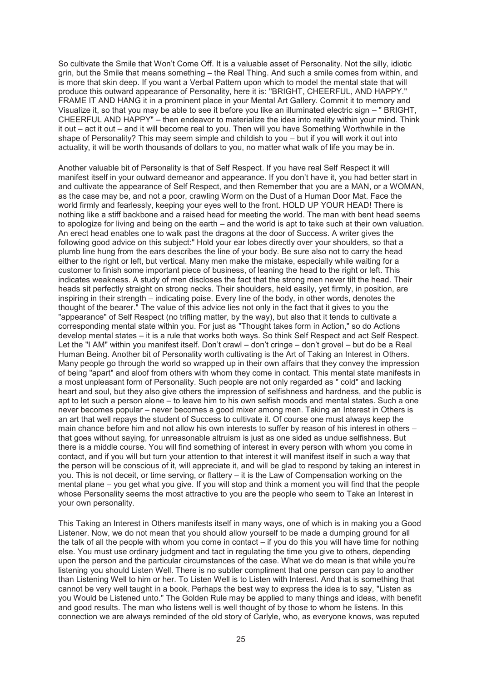So cultivate the Smile that Won't Come Off. It is a valuable asset of Personality. Not the silly, idiotic grin, but the Smile that means something – the Real Thing. And such a smile comes from within, and is more that skin deep. If you want a Verbal Pattern upon which to model the mental state that will produce this outward appearance of Personality, here it is: "BRIGHT, CHEERFUL, AND HAPPY." FRAME IT AND HANG it in a prominent place in your Mental Art Gallery. Commit it to memory and Visualize it, so that you may be able to see it before you like an illuminated electric sign – " BRIGHT, CHEERFUL AND HAPPY" – then endeavor to materialize the idea into reality within your mind. Think it out – act it out – and it will become real to you. Then will you have Something Worthwhile in the shape of Personality? This may seem simple and childish to you – but if you will work it out into actuality, it will be worth thousands of dollars to you, no matter what walk of life you may be in.

Another valuable bit of Personality is that of Self Respect. If you have real Self Respect it will manifest itself in your outward demeanor and appearance. If you don't have it, you had better start in and cultivate the appearance of Self Respect, and then Remember that you are a MAN, or a WOMAN, as the case may be, and not a poor, crawling Worm on the Dust of a Human Door Mat. Face the world firmly and fearlessly, keeping your eyes well to the front. HOLD UP YOUR HEAD! There is nothing like a stiff backbone and a raised head for meeting the world. The man with bent head seems to apologize for living and being on the earth – and the world is apt to take such at their own valuation. An erect head enables one to walk past the dragons at the door of Success. A writer gives the following good advice on this subject:" Hold your ear lobes directly over your shoulders, so that a plumb line hung from the ears describes the line of your body. Be sure also not to carry the head either to the right or left, but vertical. Many men make the mistake, especially while waiting for a customer to finish some important piece of business, of leaning the head to the right or left. This indicates weakness. A study of men discloses the fact that the strong men never tilt the head. Their heads sit perfectly straight on strong necks. Their shoulders, held easily, yet firmly, in position, are inspiring in their strength – indicating poise. Every line of the body, in other words, denotes the thought of the bearer." The value of this advice lies not only in the fact that it gives to you the "appearance" of Self Respect (no trifling matter, by the way), but also that it tends to cultivate a corresponding mental state within you. For just as "Thought takes form in Action," so do Actions develop mental states – it is a rule that works both ways. So think Self Respect and act Self Respect. Let the "I AM" within you manifest itself. Don't crawl – don't cringe – don't grovel – but do be a Real Human Being. Another bit of Personality worth cultivating is the Art of Taking an Interest in Others. Many people go through the world so wrapped up in their own affairs that they convey the impression of being "apart" and aloof from others with whom they come in contact. This mental state manifests in a most unpleasant form of Personality. Such people are not only regarded as " cold" and lacking heart and soul, but they also give others the impression of selfishness and hardness, and the public is apt to let such a person alone – to leave him to his own selfish moods and mental states. Such a one never becomes popular – never becomes a good mixer among men. Taking an Interest in Others is an art that well repays the student of Success to cultivate it. Of course one must always keep the main chance before him and not allow his own interests to suffer by reason of his interest in others – that goes without saying, for unreasonable altruism is just as one sided as undue selfishness. But there is a middle course. You will find something of interest in every person with whom you come in contact, and if you will but turn your attention to that interest it will manifest itself in such a way that the person will be conscious of it, will appreciate it, and will be glad to respond by taking an interest in you. This is not deceit, or time serving, or flattery – it is the Law of Compensation working on the mental plane – you get what you give. If you will stop and think a moment you will find that the people whose Personality seems the most attractive to you are the people who seem to Take an Interest in your own personality.

This Taking an Interest in Others manifests itself in many ways, one of which is in making you a Good Listener. Now, we do not mean that you should allow yourself to be made a dumping ground for all the talk of all the people with whom you come in contact – if you do this you will have time for nothing else. You must use ordinary judgment and tact in regulating the time you give to others, depending upon the person and the particular circumstances of the case. What we do mean is that while you're listening you should Listen Well. There is no subtler compliment that one person can pay to another than Listening Well to him or her. To Listen Well is to Listen with Interest. And that is something that cannot be very well taught in a book. Perhaps the best way to express the idea is to say, "Listen as you Would be Listened unto." The Golden Rule may be applied to many things and ideas, with benefit and good results. The man who listens well is well thought of by those to whom he listens. In this connection we are always reminded of the old story of Carlyle, who, as everyone knows, was reputed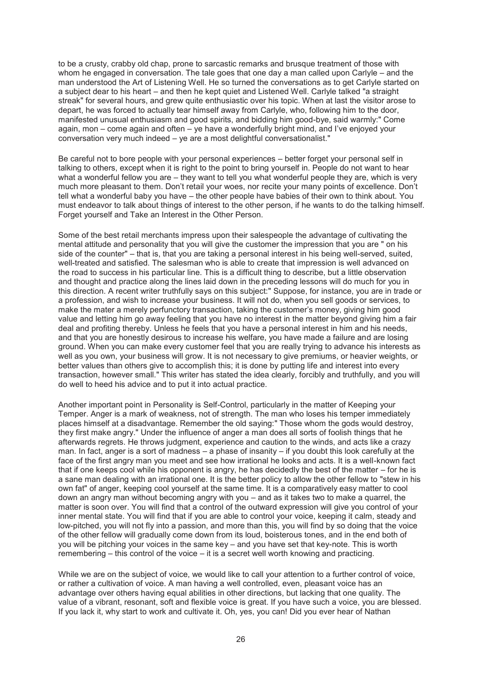to be a crusty, crabby old chap, prone to sarcastic remarks and brusque treatment of those with whom he engaged in conversation. The tale goes that one day a man called upon Carlyle – and the man understood the Art of Listening Well. He so turned the conversations as to get Carlyle started on a subject dear to his heart – and then he kept quiet and Listened Well. Carlyle talked "a straight streak" for several hours, and grew quite enthusiastic over his topic. When at last the visitor arose to depart, he was forced to actually tear himself away from Carlyle, who, following him to the door, manifested unusual enthusiasm and good spirits, and bidding him good-bye, said warmly:" Come again, mon – come again and often – ye have a wonderfully bright mind, and I've enjoyed your conversation very much indeed – ye are a most delightful conversationalist."

Be careful not to bore people with your personal experiences – better forget your personal self in talking to others, except when it is right to the point to bring yourself in. People do not want to hear what a wonderful fellow you are – they want to tell you what wonderful people they are, which is very much more pleasant to them. Don't retail your woes, nor recite your many points of excellence. Don't tell what a wonderful baby you have – the other people have babies of their own to think about. You must endeavor to talk about things of interest to the other person, if he wants to do the talking himself. Forget yourself and Take an Interest in the Other Person.

Some of the best retail merchants impress upon their salespeople the advantage of cultivating the mental attitude and personality that you will give the customer the impression that you are " on his side of the counter" – that is, that you are taking a personal interest in his being well-served, suited, well-treated and satisfied. The salesman who is able to create that impression is well advanced on the road to success in his particular line. This is a difficult thing to describe, but a little observation and thought and practice along the lines laid down in the preceding lessons will do much for you in this direction. A recent writer truthfully says on this subject:" Suppose, for instance, you are in trade or a profession, and wish to increase your business. It will not do, when you sell goods or services, to make the mater a merely perfunctory transaction, taking the customer's money, giving him good value and letting him go away feeling that you have no interest in the matter beyond giving him a fair deal and profiting thereby. Unless he feels that you have a personal interest in him and his needs, and that you are honestly desirous to increase his welfare, you have made a failure and are losing ground. When you can make every customer feel that you are really trying to advance his interests as well as you own, your business will grow. It is not necessary to give premiums, or heavier weights, or better values than others give to accomplish this; it is done by putting life and interest into every transaction, however small." This writer has stated the idea clearly, forcibly and truthfully, and you will do well to heed his advice and to put it into actual practice.

Another important point in Personality is Self-Control, particularly in the matter of Keeping your Temper. Anger is a mark of weakness, not of strength. The man who loses his temper immediately places himself at a disadvantage. Remember the old saying:" Those whom the gods would destroy, they first make angry." Under the influence of anger a man does all sorts of foolish things that he afterwards regrets. He throws judgment, experience and caution to the winds, and acts like a crazy man. In fact, anger is a sort of madness – a phase of insanity – if you doubt this look carefully at the face of the first angry man you meet and see how irrational he looks and acts. It is a well-known fact that if one keeps cool while his opponent is angry, he has decidedly the best of the matter – for he is a sane man dealing with an irrational one. It is the better policy to allow the other fellow to "stew in his own fat" of anger, keeping cool yourself at the same time. It is a comparatively easy matter to cool down an angry man without becoming angry with you – and as it takes two to make a quarrel, the matter is soon over. You will find that a control of the outward expression will give you control of your inner mental state. You will find that if you are able to control your voice, keeping it calm, steady and low-pitched, you will not fly into a passion, and more than this, you will find by so doing that the voice of the other fellow will gradually come down from its loud, boisterous tones, and in the end both of you will be pitching your voices in the same key – and you have set that key-note. This is worth remembering – this control of the voice – it is a secret well worth knowing and practicing.

While we are on the subject of voice, we would like to call your attention to a further control of voice, or rather a cultivation of voice. A man having a well controlled, even, pleasant voice has an advantage over others having equal abilities in other directions, but lacking that one quality. The value of a vibrant, resonant, soft and flexible voice is great. If you have such a voice, you are blessed. If you lack it, why start to work and cultivate it. Oh, yes, you can! Did you ever hear of Nathan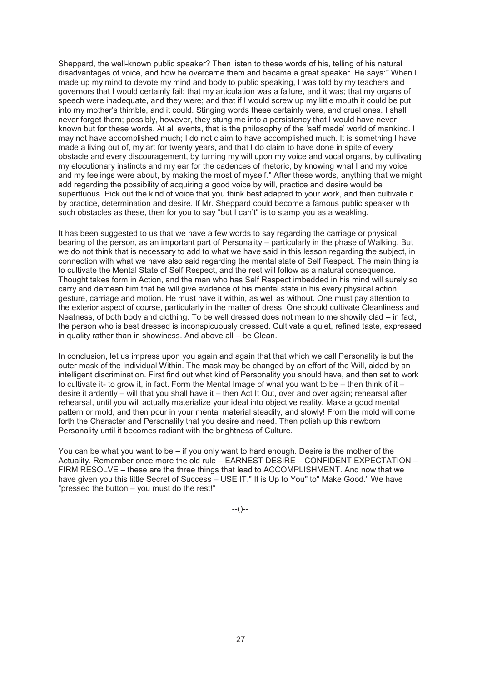Sheppard, the well-known public speaker? Then listen to these words of his, telling of his natural disadvantages of voice, and how he overcame them and became a great speaker. He says:" When I made up my mind to devote my mind and body to public speaking, I was told by my teachers and governors that I would certainly fail; that my articulation was a failure, and it was; that my organs of speech were inadequate, and they were; and that if I would screw up my little mouth it could be put into my mother's thimble, and it could. Stinging words these certainly were, and cruel ones. I shall never forget them; possibly, however, they stung me into a persistency that I would have never known but for these words. At all events, that is the philosophy of the 'self made' world of mankind. I may not have accomplished much; I do not claim to have accomplished much. It is something I have made a living out of, my art for twenty years, and that I do claim to have done in spite of every obstacle and every discouragement, by turning my will upon my voice and vocal organs, by cultivating my elocutionary instincts and my ear for the cadences of rhetoric, by knowing what I and my voice and my feelings were about, by making the most of myself." After these words, anything that we might add regarding the possibility of acquiring a good voice by will, practice and desire would be superfluous. Pick out the kind of voice that you think best adapted to your work, and then cultivate it by practice, determination and desire. If Mr. Sheppard could become a famous public speaker with such obstacles as these, then for you to say "but I can't" is to stamp you as a weakling.

It has been suggested to us that we have a few words to say regarding the carriage or physical bearing of the person, as an important part of Personality – particularly in the phase of Walking. But we do not think that is necessary to add to what we have said in this lesson regarding the subject, in connection with what we have also said regarding the mental state of Self Respect. The main thing is to cultivate the Mental State of Self Respect, and the rest will follow as a natural consequence. Thought takes form in Action, and the man who has Self Respect imbedded in his mind will surely so carry and demean him that he will give evidence of his mental state in his every physical action, gesture, carriage and motion. He must have it within, as well as without. One must pay attention to the exterior aspect of course, particularly in the matter of dress. One should cultivate Cleanliness and Neatness, of both body and clothing. To be well dressed does not mean to me showily clad – in fact, the person who is best dressed is inconspicuously dressed. Cultivate a quiet, refined taste, expressed in quality rather than in showiness. And above all – be Clean.

In conclusion, let us impress upon you again and again that that which we call Personality is but the outer mask of the Individual Within. The mask may be changed by an effort of the Will, aided by an intelligent discrimination. First find out what kind of Personality you should have, and then set to work to cultivate it- to grow it, in fact. Form the Mental Image of what you want to be – then think of it – desire it ardently – will that you shall have it – then Act It Out, over and over again; rehearsal after rehearsal, until you will actually materialize your ideal into objective reality. Make a good mental pattern or mold, and then pour in your mental material steadily, and slowly! From the mold will come forth the Character and Personality that you desire and need. Then polish up this newborn Personality until it becomes radiant with the brightness of Culture.

You can be what you want to be – if you only want to hard enough. Desire is the mother of the Actuality. Remember once more the old rule – EARNEST DESIRE – CONFIDENT EXPECTATION – FIRM RESOLVE – these are the three things that lead to ACCOMPLISHMENT. And now that we have given you this little Secret of Success – USE IT." It is Up to You" to" Make Good." We have "pressed the button – you must do the rest!"

--()--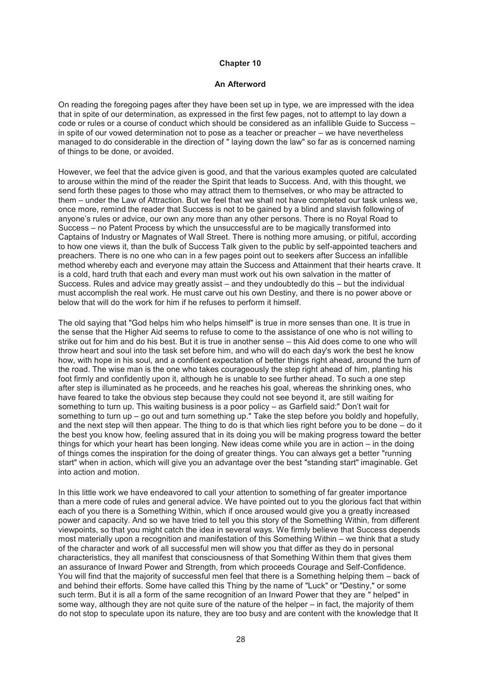#### **An Afterword**

On reading the foregoing pages after they have been set up in type, we are impressed with the idea that in spite of our determination, as expressed in the first few pages, not to attempt to lay down a code or rules or a course of conduct which should be considered as an infallible Guide to Success – in spite of our vowed determination not to pose as a teacher or preacher – we have nevertheless managed to do considerable in the direction of " laying down the law" so far as is concerned naming of things to be done, or avoided.

However, we feel that the advice given is good, and that the various examples quoted are calculated to arouse within the mind of the reader the Spirit that leads to Success. And, with this thought, we send forth these pages to those who may attract them to themselves, or who may be attracted to them – under the Law of Attraction. But we feel that we shall not have completed our task unless we, once more, remind the reader that Success is not to be gained by a blind and slavish following of anyone's rules or advice, our own any more than any other persons. There is no Royal Road to Success – no Patent Process by which the unsuccessful are to be magically transformed into Captains of Industry or Magnates of Wall Street. There is nothing more amusing, or pitiful, according to how one views it, than the bulk of Success Talk given to the public by self-appointed teachers and preachers. There is no one who can in a few pages point out to seekers after Success an infallible method whereby each and everyone may attain the Success and Attainment that their hearts crave. It is a cold, hard truth that each and every man must work out his own salvation in the matter of Success. Rules and advice may greatly assist – and they undoubtedly do this – but the individual must accomplish the real work. He must carve out his own Destiny, and there is no power above or below that will do the work for him if he refuses to perform it himself.

The old saying that "God helps him who helps himself" is true in more senses than one. It is true in the sense that the Higher Aid seems to refuse to come to the assistance of one who is not willing to strike out for him and do his best. But it is true in another sense – this Aid does come to one who will throw heart and soul into the task set before him, and who will do each day's work the best he know how, with hope in his soul, and a confident expectation of better things right ahead, around the turn of the road. The wise man is the one who takes courageously the step right ahead of him, planting his foot firmly and confidently upon it, although he is unable to see further ahead. To such a one step after step is illuminated as he proceeds, and he reaches his goal, whereas the shrinking ones, who have feared to take the obvious step because they could not see beyond it, are still waiting for something to turn up. This waiting business is a poor policy – as Garfield said:" Don't wait for something to turn up – go out and turn something up." Take the step before you boldly and hopefully, and the next step will then appear. The thing to do is that which lies right before you to be done – do it the best you know how, feeling assured that in its doing you will be making progress toward the better things for which your heart has been longing. New ideas come while you are in action – in the doing of things comes the inspiration for the doing of greater things. You can always get a better "running start" when in action, which will give you an advantage over the best "standing start" imaginable. Get into action and motion.

In this little work we have endeavored to call your attention to something of far greater importance than a mere code of rules and general advice. We have pointed out to you the glorious fact that within each of you there is a Something Within, which if once aroused would give you a greatly increased power and capacity. And so we have tried to tell you this story of the Something Within, from different viewpoints, so that you might catch the idea in several ways. We firmly believe that Success depends most materially upon a recognition and manifestation of this Something Within – we think that a study of the character and work of all successful men will show you that differ as they do in personal characteristics, they all manifest that consciousness of that Something Within them that gives them an assurance of Inward Power and Strength, from which proceeds Courage and Self-Confidence. You will find that the majority of successful men feel that there is a Something helping them – back of and behind their efforts. Some have called this Thing by the name of "Luck" or "Destiny," or some such term. But it is all a form of the same recognition of an Inward Power that they are " helped" in some way, although they are not quite sure of the nature of the helper – in fact, the majority of them do not stop to speculate upon its nature, they are too busy and are content with the knowledge that It